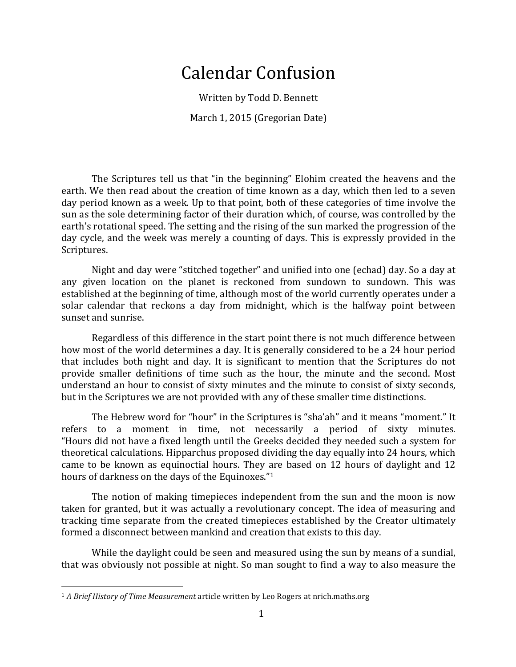## Calendar Confusion

Written by Todd D. Bennett March 1, 2015 (Gregorian Date)

The Scriptures tell us that "in the beginning" Elohim created the heavens and the earth. We then read about the creation of time known as a day, which then led to a seven day period known as a week. Up to that point, both of these categories of time involve the sun as the sole determining factor of their duration which, of course, was controlled by the earth's rotational speed. The setting and the rising of the sun marked the progression of the day cycle, and the week was merely a counting of days. This is expressly provided in the Scriptures.

Night and day were "stitched together" and unified into one (echad) day. So a day at any given location on the planet is reckoned from sundown to sundown. This was established at the beginning of time, although most of the world currently operates under a solar calendar that reckons a day from midnight, which is the halfway point between sunset and sunrise.

Regardless of this difference in the start point there is not much difference between how most of the world determines a day. It is generally considered to be a 24 hour period that includes both night and day. It is significant to mention that the Scriptures do not provide smaller definitions of time such as the hour, the minute and the second. Most understand an hour to consist of sixty minutes and the minute to consist of sixty seconds, but in the Scriptures we are not provided with any of these smaller time distinctions.

The Hebrew word for "hour" in the Scriptures is "sha'ah" and it means "moment." It refers to a moment in time, not necessarily a period of sixty minutes. "Hours did not have a fixed length until the Greeks decided they needed such a system for theoretical calculations. Hipparchus proposed dividing the day equally into 24 hours, which came to be known as equinoctial hours. They are based on 12 hours of daylight and 12 hours of darkness on the days of the Equinoxes."<sup>1</sup>

The notion of making timepieces independent from the sun and the moon is now taken for granted, but it was actually a revolutionary concept. The idea of measuring and tracking time separate from the created timepieces established by the Creator ultimately formed a disconnect between mankind and creation that exists to this day.

While the daylight could be seen and measured using the sun by means of a sundial, that was obviously not possible at night. So man sought to find a way to also measure the

<sup>&</sup>lt;sup>1</sup> *A* Brief History of Time Measurement article written by Leo Rogers at nrich.maths.org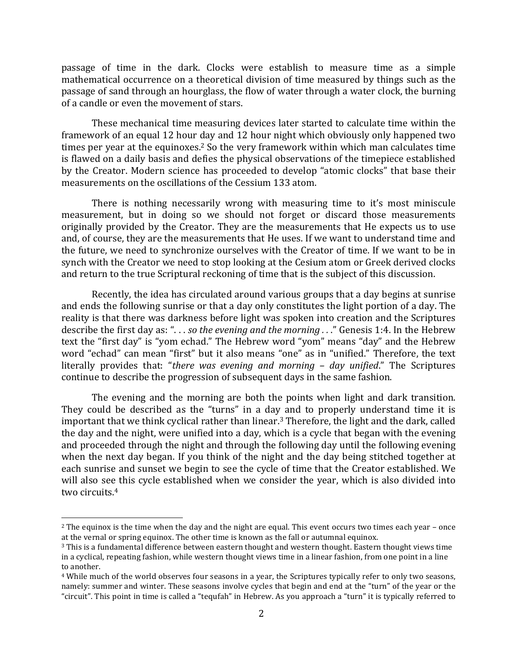passage of time in the dark. Clocks were establish to measure time as a simple mathematical occurrence on a theoretical division of time measured by things such as the passage of sand through an hourglass, the flow of water through a water clock, the burning of a candle or even the movement of stars.

These mechanical time measuring devices later started to calculate time within the framework of an equal 12 hour day and 12 hour night which obviously only happened two times per year at the equinoxes.<sup>2</sup> So the very framework within which man calculates time is flawed on a daily basis and defies the physical observations of the timepiece established by the Creator. Modern science has proceeded to develop "atomic clocks" that base their measurements on the oscillations of the Cessium 133 atom.

There is nothing necessarily wrong with measuring time to it's most miniscule measurement, but in doing so we should not forget or discard those measurements originally provided by the Creator. They are the measurements that He expects us to use and, of course, they are the measurements that He uses. If we want to understand time and the future, we need to synchronize ourselves with the Creator of time. If we want to be in synch with the Creator we need to stop looking at the Cesium atom or Greek derived clocks and return to the true Scriptural reckoning of time that is the subject of this discussion.

Recently, the idea has circulated around various groups that a day begins at sunrise and ends the following sunrise or that a day only constitutes the light portion of a day. The reality is that there was darkness before light was spoken into creation and the Scriptures describe the first day as: "... so the evening and the morning ..." Genesis 1:4. In the Hebrew text the "first day" is "yom echad." The Hebrew word "yom" means "day" and the Hebrew word "echad" can mean "first" but it also means "one" as in "unified." Therefore, the text literally provides that: "*there was evening and morning – day unified*." The Scriptures continue to describe the progression of subsequent days in the same fashion.

The evening and the morning are both the points when light and dark transition. They could be described as the "turns" in a day and to properly understand time it is important that we think cyclical rather than linear.<sup>3</sup> Therefore, the light and the dark, called the day and the night, were unified into a day, which is a cycle that began with the evening and proceeded through the night and through the following day until the following evening when the next day began. If you think of the night and the day being stitched together at each sunrise and sunset we begin to see the cycle of time that the Creator established. We will also see this cycle established when we consider the year, which is also divided into two circuits.<sup>4</sup>

 $2$  The equinox is the time when the day and the night are equal. This event occurs two times each year – once at the vernal or spring equinox. The other time is known as the fall or autumnal equinox.

<sup>&</sup>lt;sup>3</sup> This is a fundamental difference between eastern thought and western thought. Eastern thought views time in a cyclical, repeating fashion, while western thought views time in a linear fashion, from one point in a line to another.

<sup>&</sup>lt;sup>4</sup> While much of the world observes four seasons in a year, the Scriptures typically refer to only two seasons, namely: summer and winter. These seasons involve cycles that begin and end at the "turn" of the year or the "circuit". This point in time is called a "tequfah" in Hebrew. As you approach a "turn" it is typically referred to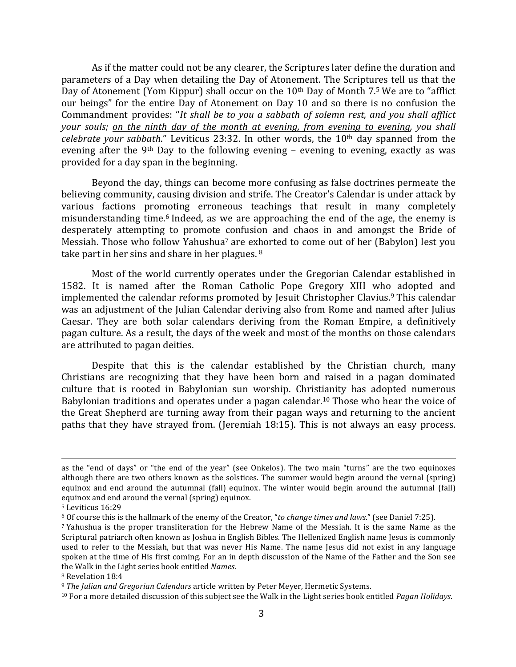As if the matter could not be any clearer, the Scriptures later define the duration and parameters of a Day when detailing the Day of Atonement. The Scriptures tell us that the Day of Atonement (Yom Kippur) shall occur on the  $10<sup>th</sup>$  Day of Month 7.5 We are to "afflict our beings" for the entire Day of Atonement on Day 10 and so there is no confusion the Commandment provides: "It shall be to you a sabbath of solemn rest, and you shall afflict *your* souls; on the ninth day of the month at evening, from evening to evening, you shall *celebrate your sabbath.*" Leviticus 23:32. In other words, the 10<sup>th</sup> day spanned from the evening after the 9<sup>th</sup> Day to the following evening – evening to evening, exactly as was provided for a day span in the beginning.

Beyond the day, things can become more confusing as false doctrines permeate the believing community, causing division and strife. The Creator's Calendar is under attack by various factions promoting erroneous teachings that result in many completely misunderstanding time.<sup>6</sup> Indeed, as we are approaching the end of the age, the enemy is desperately attempting to promote confusion and chaos in and amongst the Bride of Messiah. Those who follow Yahushua<sup>7</sup> are exhorted to come out of her (Babylon) lest you take part in her sins and share in her plagues.  $8$ 

Most of the world currently operates under the Gregorian Calendar established in 1582. It is named after the Roman Catholic Pope Gregory XIII who adopted and implemented the calendar reforms promoted by Jesuit Christopher Clavius.<sup>9</sup> This calendar was an adjustment of the Julian Calendar deriving also from Rome and named after Julius Caesar. They are both solar calendars deriving from the Roman Empire, a definitively pagan culture. As a result, the days of the week and most of the months on those calendars are attributed to pagan deities.

Despite that this is the calendar established by the Christian church, many Christians are recognizing that they have been born and raised in a pagan dominated culture that is rooted in Babylonian sun worship. Christianity has adopted numerous Babylonian traditions and operates under a pagan calendar.<sup>10</sup> Those who hear the voice of the Great Shepherd are turning away from their pagan ways and returning to the ancient paths that they have strayed from. (Jeremiah 18:15). This is not always an easy process.

<u> 1989 - Andrea Santa Alemania, amerikana amerikana amerikana amerikana amerikana amerikana amerikana amerikan</u>

as the "end of days" or "the end of the year" (see Onkelos). The two main "turns" are the two equinoxes although there are two others known as the solstices. The summer would begin around the vernal (spring) equinox and end around the autumnal (fall) equinox. The winter would begin around the autumnal (fall) equinox and end around the vernal (spring) equinox.

<sup>5</sup> Leviticus 16:29

<sup>&</sup>lt;sup>6</sup> Of course this is the hallmark of the enemy of the Creator, "*to change times and laws."* (see Daniel 7:25).

 $7$  Yahushua is the proper transliteration for the Hebrew Name of the Messiah. It is the same Name as the Scriptural patriarch often known as Joshua in English Bibles. The Hellenized English name Jesus is commonly used to refer to the Messiah, but that was never His Name. The name Jesus did not exist in any language spoken at the time of His first coming. For an in depth discussion of the Name of the Father and the Son see the Walk in the Light series book entitled *Names*.

<sup>&</sup>lt;sup>8</sup> Revelation 18:4

<sup>&</sup>lt;sup>9</sup> *The Julian and Gregorian Calendars* article written by Peter Meyer, Hermetic Systems.

<sup>&</sup>lt;sup>10</sup> For a more detailed discussion of this subject see the Walk in the Light series book entitled *Pagan Holidays*.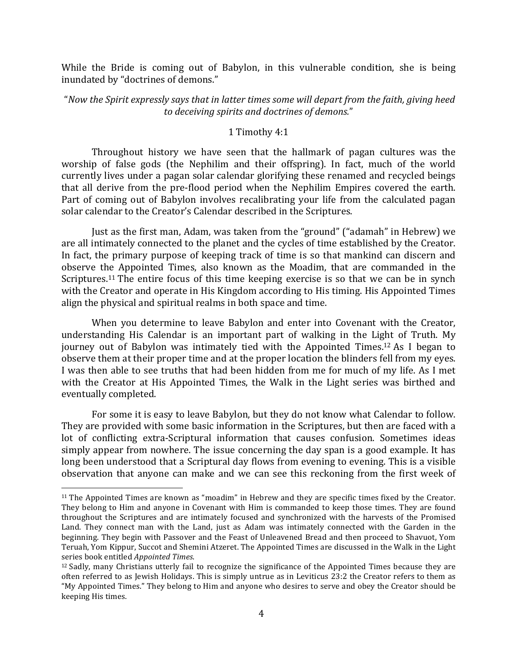While the Bride is coming out of Babylon, in this vulnerable condition, she is being inundated by "doctrines of demons."

## "Now the Spirit expressly says that in latter times some will depart from the faith, giving heed *to deceiving spirits and doctrines of demons.*"

## 1 Timothy 4:1

Throughout history we have seen that the hallmark of pagan cultures was the worship of false gods (the Nephilim and their offspring). In fact, much of the world currently lives under a pagan solar calendar glorifying these renamed and recycled beings that all derive from the pre-flood period when the Nephilim Empires covered the earth. Part of coming out of Babylon involves recalibrating your life from the calculated pagan solar calendar to the Creator's Calendar described in the Scriptures.

Just as the first man, Adam, was taken from the "ground" ("adamah" in Hebrew) we are all intimately connected to the planet and the cycles of time established by the Creator. In fact, the primary purpose of keeping track of time is so that mankind can discern and observe the Appointed Times, also known as the Moadim, that are commanded in the Scriptures.<sup>11</sup> The entire focus of this time keeping exercise is so that we can be in synch with the Creator and operate in His Kingdom according to His timing. His Appointed Times align the physical and spiritual realms in both space and time.

When you determine to leave Babylon and enter into Covenant with the Creator, understanding His Calendar is an important part of walking in the Light of Truth. My journey out of Babylon was intimately tied with the Appointed Times.<sup>12</sup> As I began to observe them at their proper time and at the proper location the blinders fell from my eyes. I was then able to see truths that had been hidden from me for much of my life. As I met with the Creator at His Appointed Times, the Walk in the Light series was birthed and eventually completed.

For some it is easy to leave Babylon, but they do not know what Calendar to follow. They are provided with some basic information in the Scriptures, but then are faced with a lot of conflicting extra-Scriptural information that causes confusion. Sometimes ideas simply appear from nowhere. The issue concerning the day span is a good example. It has long been understood that a Scriptural day flows from evening to evening. This is a visible observation that anyone can make and we can see this reckoning from the first week of

 $11$  The Appointed Times are known as "moadim" in Hebrew and they are specific times fixed by the Creator. They belong to Him and anyone in Covenant with Him is commanded to keep those times. They are found throughout the Scriptures and are intimately focused and synchronized with the harvests of the Promised Land. They connect man with the Land, just as Adam was intimately connected with the Garden in the beginning. They begin with Passover and the Feast of Unleavened Bread and then proceed to Shavuot, Yom Teruah, Yom Kippur, Succot and Shemini Atzeret. The Appointed Times are discussed in the Walk in the Light series book entitled *Appointed Times*.

 $12$  Sadly, many Christians utterly fail to recognize the significance of the Appointed Times because they are often referred to as Jewish Holidays. This is simply untrue as in Leviticus 23:2 the Creator refers to them as "My Appointed Times." They belong to Him and anyone who desires to serve and obey the Creator should be keeping His times.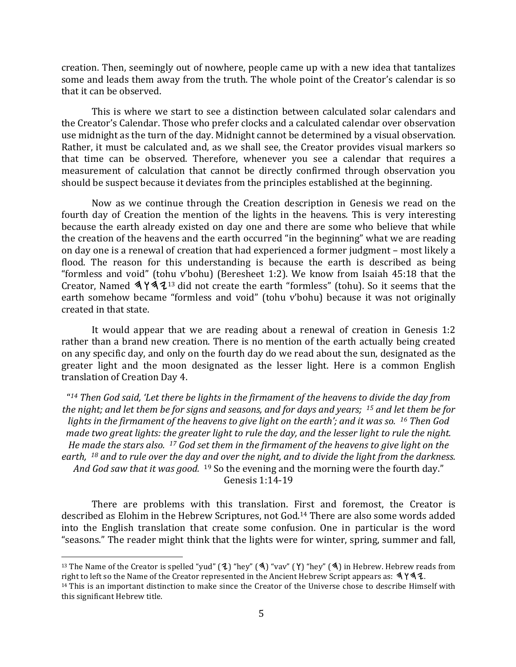creation. Then, seemingly out of nowhere, people came up with a new idea that tantalizes some and leads them away from the truth. The whole point of the Creator's calendar is so that it can be observed.

This is where we start to see a distinction between calculated solar calendars and the Creator's Calendar. Those who prefer clocks and a calculated calendar over observation use midnight as the turn of the day. Midnight cannot be determined by a visual observation. Rather, it must be calculated and, as we shall see, the Creator provides visual markers so that time can be observed. Therefore, whenever you see a calendar that requires a measurement of calculation that cannot be directly confirmed through observation you should be suspect because it deviates from the principles established at the beginning.

Now as we continue through the Creation description in Genesis we read on the fourth day of Creation the mention of the lights in the heavens. This is very interesting because the earth already existed on day one and there are some who believe that while the creation of the heavens and the earth occurred "in the beginning" what we are reading on day one is a renewal of creation that had experienced a former judgment – most likely a flood. The reason for this understanding is because the earth is described as being "formless and void" (tohu v'bohu) (Beresheet 1:2). We know from Isaiah  $45:18$  that the Creator, Named  $\mathbf{\mathcal{A}} \mathbf{Y} \mathbf{\mathcal{A}} \mathbf{\mathcal{I}}^{13}$  did not create the earth "formless" (tohu). So it seems that the earth somehow became "formless and void" (tohu v'bohu) because it was not originally created in that state.

It would appear that we are reading about a renewal of creation in Genesis  $1:2$ rather than a brand new creation. There is no mention of the earth actually being created on any specific day, and only on the fourth day do we read about the sun, designated as the greater light and the moon designated as the lesser light. Here is a common English translation of Creation Day 4.

"<sup>14</sup> Then God said, 'Let there be lights in the firmament of the heavens to divide the day from *the night;* and let them be for signs and seasons, and for days and years; <sup>15</sup> and let them be for *lights* in the firmament of the heavens to give light on the earth'; and it was so. <sup>16</sup> Then God *made* two great lights: the greater light to rule the day, and the lesser light to rule the night. *He* made the stars also. <sup>17</sup> God set them in the firmament of the heavens to give light on the earth, <sup>18</sup> and to rule over the day and over the night, and to divide the light from the darkness. *And God saw that it was good.* <sup>19</sup> So the evening and the morning were the fourth day." Genesis 1:14-19

There are problems with this translation. First and foremost, the Creator is described as Elohim in the Hebrew Scriptures, not God.<sup>14</sup> There are also some words added into the English translation that create some confusion. One in particular is the word "seasons." The reader might think that the lights were for winter, spring, summer and fall,

<sup>&</sup>lt;sup>13</sup> The Name of the Creator is spelled "yud" (**1**) "hey" (**A**) "vav" (**Y**) "hey" (**A**) in Hebrew. Hebrew reads from right to left so the Name of the Creator represented in the Ancient Hebrew Script appears as:  $\mathcal{A} \mathcal{A} \mathcal{A}$ .

 $14$  This is an important distinction to make since the Creator of the Universe chose to describe Himself with this significant Hebrew title.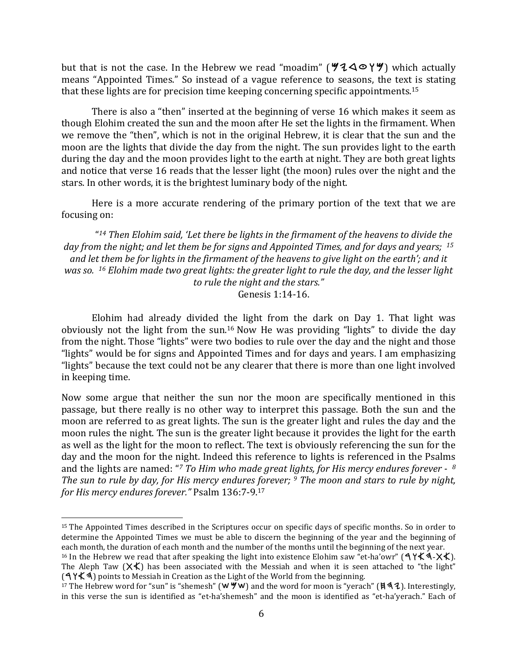but that is not the case. In the Hebrew we read "moadim" ( $440^\circ$ ) which actually means "Appointed Times." So instead of a vague reference to seasons, the text is stating that these lights are for precision time keeping concerning specific appointments.<sup>15</sup>

There is also a "then" inserted at the beginning of verse 16 which makes it seem as though Elohim created the sun and the moon after He set the lights in the firmament. When we remove the "then", which is not in the original Hebrew, it is clear that the sun and the moon are the lights that divide the day from the night. The sun provides light to the earth during the day and the moon provides light to the earth at night. They are both great lights and notice that verse 16 reads that the lesser light (the moon) rules over the night and the stars. In other words, it is the brightest luminary body of the night.

Here is a more accurate rendering of the primary portion of the text that we are focusing on:

"<sup>14</sup> Then Elohim said, 'Let there be lights in the firmament of the heavens to divide the day from the night; and let them be for signs and Appointed Times, and for days and years; <sup>15</sup> and let them be for lights in the firmament of the heavens to give light on the earth'; and it *was* so. <sup>16</sup> *Elohim* made *two great lights: the greater light to rule the day, and the lesser light* to rule the night and the stars." Genesis 1:14-16.

Elohim had already divided the light from the dark on Day 1. That light was obviously not the light from the sun.<sup>16</sup> Now He was providing "lights" to divide the day from the night. Those "lights" were two bodies to rule over the day and the night and those "lights" would be for signs and Appointed Times and for days and years. I am emphasizing "lights" because the text could not be any clearer that there is more than one light involved in keeping time.

Now some argue that neither the sun nor the moon are specifically mentioned in this passage, but there really is no other way to interpret this passage. Both the sun and the moon are referred to as great lights. The sun is the greater light and rules the day and the moon rules the night. The sun is the greater light because it provides the light for the earth as well as the light for the moon to reflect. The text is obviously referencing the sun for the day and the moon for the night. Indeed this reference to lights is referenced in the Psalms and the lights are named: "<sup>7</sup> To Him who made great lights, for His mercy endures forever -  $8$ *The sun to rule by day, for His mercy endures forever;* <sup>9</sup> *The moon and stars to rule by night, for His mercy endures forever."* Psalm 136:7-9.<sup>17</sup>

<sup>&</sup>lt;sup>15</sup> The Appointed Times described in the Scriptures occur on specific days of specific months. So in order to determine the Appointed Times we must be able to discern the beginning of the year and the beginning of each month, the duration of each month and the number of the months until the beginning of the next year.

<sup>&</sup>lt;sup>16</sup> In the Hebrew we read that after speaking the light into existence Elohim saw "et-ha'owr" ( **٩ ٢ × ٩ - × +**). The Aleph Taw  $(X \nless 1)$  has been associated with the Messiah and when it is seen attached to "the light"  $(4\frac{4}{4})$  points to Messiah in Creation as the Light of the World from the beginning.

<sup>&</sup>lt;sup>17</sup> The Hebrew word for "sun" is "shemesh" ( $W$   $\forall$   $W$ ) and the word for moon is "yerach" ( $\forall$  4). Interestingly, in this verse the sun is identified as "et-ha'shemesh" and the moon is identified as "et-ha'yerach." Each of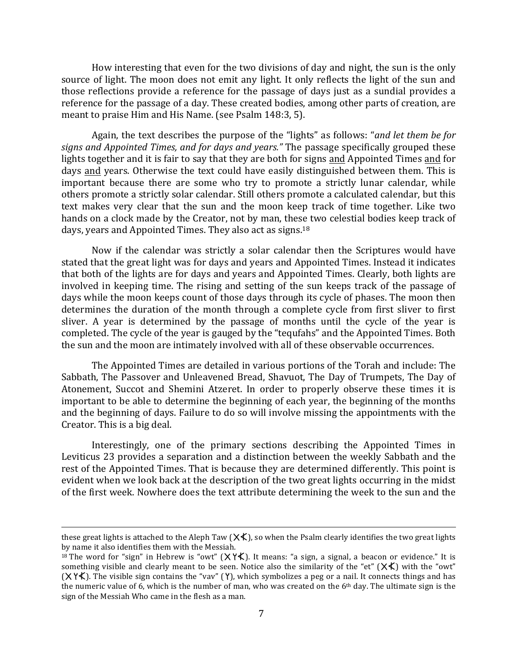How interesting that even for the two divisions of day and night, the sun is the only source of light. The moon does not emit any light. It only reflects the light of the sun and those reflections provide a reference for the passage of days just as a sundial provides a reference for the passage of a day. These created bodies, among other parts of creation, are meant to praise Him and His Name. (see Psalm 148:3, 5).

Again, the text describes the purpose of the "lights" as follows: "*and let them be for* signs and Appointed Times, and for days and years." The passage specifically grouped these lights together and it is fair to say that they are both for signs and Appointed Times and for days and years. Otherwise the text could have easily distinguished between them. This is important because there are some who try to promote a strictly lunar calendar, while others promote a strictly solar calendar. Still others promote a calculated calendar, but this text makes very clear that the sun and the moon keep track of time together. Like two hands on a clock made by the Creator, not by man, these two celestial bodies keep track of days, years and Appointed Times. They also act as signs.<sup>18</sup>

Now if the calendar was strictly a solar calendar then the Scriptures would have stated that the great light was for days and years and Appointed Times. Instead it indicates that both of the lights are for days and years and Appointed Times. Clearly, both lights are involved in keeping time. The rising and setting of the sun keeps track of the passage of days while the moon keeps count of those days through its cycle of phases. The moon then determines the duration of the month through a complete cycle from first sliver to first sliver. A year is determined by the passage of months until the cycle of the year is completed. The cycle of the year is gauged by the "tequfahs" and the Appointed Times. Both the sun and the moon are intimately involved with all of these observable occurrences.

The Appointed Times are detailed in various portions of the Torah and include: The Sabbath, The Passover and Unleavened Bread, Shavuot, The Day of Trumpets, The Day of Atonement, Succot and Shemini Atzeret. In order to properly observe these times it is important to be able to determine the beginning of each year, the beginning of the months and the beginning of days. Failure to do so will involve missing the appointments with the Creator. This is a big deal.

Interestingly, one of the primary sections describing the Appointed Times in Leviticus 23 provides a separation and a distinction between the weekly Sabbath and the rest of the Appointed Times. That is because they are determined differently. This point is evident when we look back at the description of the two great lights occurring in the midst of the first week. Nowhere does the text attribute determining the week to the sun and the

<sup>&</sup>lt;u> 1989 - Andrea Santa Andrea Andrea Andrea Andrea Andrea Andrea Andrea Andrea Andrea Andrea Andrea Andrea Andr</u> these great lights is attached to the Aleph Taw ( $\chi \zeta$ ), so when the Psalm clearly identifies the two great lights by name it also identifies them with the Messiah.

<sup>&</sup>lt;sup>18</sup> The word for "sign" in Hebrew is "owt" ( $X$  Y  $K$ ). It means: "a sign, a signal, a beacon or evidence." It is something visible and clearly meant to be seen. Notice also the similarity of the "et"  $(X \nless 1)$  with the "owt"  $(\mathsf{X} \mathsf{Y} \mathsf{K})$ . The visible sign contains the "vav"  $(\mathsf{Y})$ , which symbolizes a peg or a nail. It connects things and has the numeric value of 6, which is the number of man, who was created on the  $6<sup>th</sup>$  day. The ultimate sign is the sign of the Messiah Who came in the flesh as a man.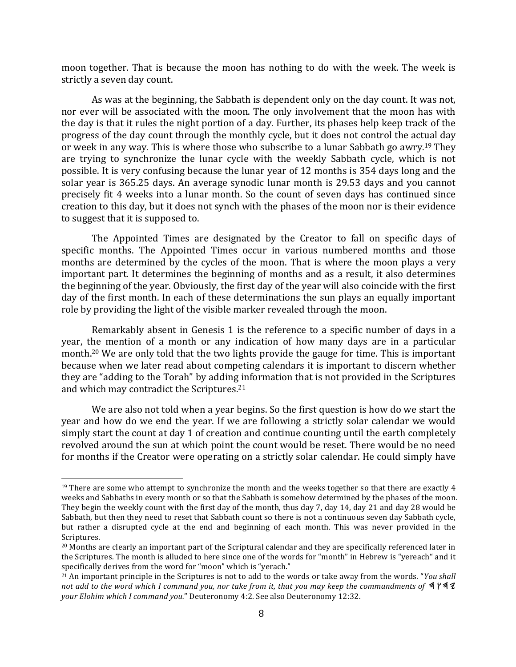moon together. That is because the moon has nothing to do with the week. The week is strictly a seven day count.

As was at the beginning, the Sabbath is dependent only on the day count. It was not, nor ever will be associated with the moon. The only involvement that the moon has with the day is that it rules the night portion of a day. Further, its phases help keep track of the progress of the day count through the monthly cycle, but it does not control the actual day or week in any way. This is where those who subscribe to a lunar Sabbath go awry.<sup>19</sup> They are trying to synchronize the lunar cycle with the weekly Sabbath cycle, which is not possible. It is very confusing because the lunar year of 12 months is 354 days long and the solar year is 365.25 days. An average synodic lunar month is 29.53 days and you cannot precisely fit 4 weeks into a lunar month. So the count of seven days has continued since creation to this day, but it does not synch with the phases of the moon nor is their evidence to suggest that it is supposed to.

The Appointed Times are designated by the Creator to fall on specific days of specific months. The Appointed Times occur in various numbered months and those months are determined by the cycles of the moon. That is where the moon plays a very important part. It determines the beginning of months and as a result, it also determines the beginning of the year. Obviously, the first day of the year will also coincide with the first day of the first month. In each of these determinations the sun plays an equally important role by providing the light of the visible marker revealed through the moon.

Remarkably absent in Genesis 1 is the reference to a specific number of days in a year, the mention of a month or any indication of how many days are in a particular month.<sup>20</sup> We are only told that the two lights provide the gauge for time. This is important because when we later read about competing calendars it is important to discern whether they are "adding to the Torah" by adding information that is not provided in the Scriptures and which may contradict the Scriptures.<sup>21</sup>

We are also not told when a year begins. So the first question is how do we start the year and how do we end the year. If we are following a strictly solar calendar we would simply start the count at day 1 of creation and continue counting until the earth completely revolved around the sun at which point the count would be reset. There would be no need for months if the Creator were operating on a strictly solar calendar. He could simply have

 $19$  There are some who attempt to synchronize the month and the weeks together so that there are exactly  $4$ weeks and Sabbaths in every month or so that the Sabbath is somehow determined by the phases of the moon. They begin the weekly count with the first day of the month, thus day 7, day 14, day 21 and day 28 would be Sabbath, but then they need to reset that Sabbath count so there is not a continuous seven day Sabbath cycle, but rather a disrupted cycle at the end and beginning of each month. This was never provided in the Scriptures.

 $20$  Months are clearly an important part of the Scriptural calendar and they are specifically referenced later in the Scriptures. The month is alluded to here since one of the words for "month" in Hebrew is "yereach" and it specifically derives from the word for "moon" which is "yerach."

<sup>&</sup>lt;sup>21</sup> An important principle in the Scriptures is not to add to the words or take away from the words. "*You shall not add to the word which I command you, nor take from it, that you may keep the commandments of*  $4$   $\frac{4}{3}$ your Elohim which I command you." Deuteronomy 4:2. See also Deuteronomy 12:32.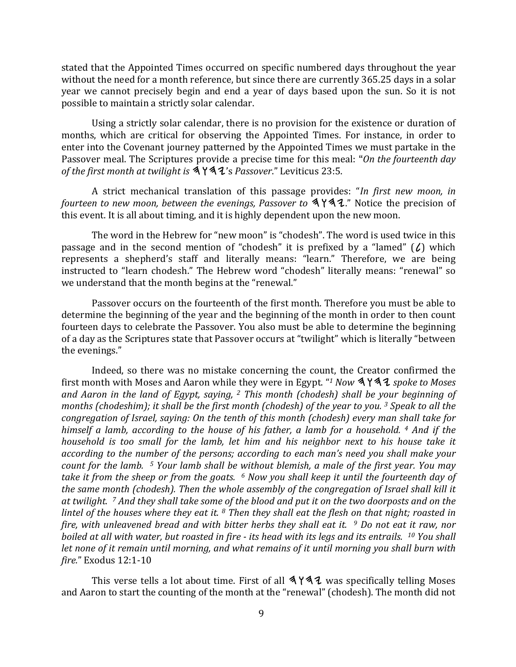stated that the Appointed Times occurred on specific numbered days throughout the year without the need for a month reference, but since there are currently 365.25 days in a solar year we cannot precisely begin and end a year of days based upon the sun. So it is not possible to maintain a strictly solar calendar.

Using a strictly solar calendar, there is no provision for the existence or duration of months, which are critical for observing the Appointed Times. For instance, in order to enter into the Covenant journey patterned by the Appointed Times we must partake in the Passover meal. The Scriptures provide a precise time for this meal: "On the fourteenth day of the first month at twilight is  $\mathcal{A} \mathcal{Y} \mathcal{A}$ 's *Passover*." Leviticus 23:5.

A strict mechanical translation of this passage provides: "*In first new moon, in fourteen to new moon, between the evenings, Passover to*  $A$   $\overline{A}$   $\overline{A}$ ." Notice the precision of this event. It is all about timing, and it is highly dependent upon the new moon.

The word in the Hebrew for "new moon" is "chodesh". The word is used twice in this passage and in the second mention of "chodesh" it is prefixed by a "lamed"  $(l)$  which represents a shepherd's staff and literally means: "learn." Therefore, we are being instructed to "learn chodesh." The Hebrew word "chodesh" literally means: "renewal" so we understand that the month begins at the "renewal."

Passover occurs on the fourteenth of the first month. Therefore you must be able to determine the beginning of the year and the beginning of the month in order to then count fourteen days to celebrate the Passover. You also must be able to determine the beginning of a day as the Scriptures state that Passover occurs at "twilight" which is literally "between the evenings."

Indeed, so there was no mistake concerning the count, the Creator confirmed the first month with Moses and Aaron while they were in Egypt. "<sup>1</sup> *Now*  $\mathcal{A} \mathcal{A}$  *spoke to Moses and Aaron* in the land of Egypt, saying, <sup>2</sup> This month (chodesh) shall be your beginning of *months* (chodeshim); it shall be the first month (chodesh) of the year to you.<sup>3</sup> Speak to all the *congregation of Israel, saying: On the tenth of this month (chodesh) every man shall take for himself* a lamb, according to the house of his father, a lamb for a household. <sup>4</sup> And if the *household* is too small for the lamb, let him and his neighbor next to his house take it *according* to the number of the persons; according to each man's need you shall make your *count for the lamb.* <sup>5</sup> *Your lamb shall be without blemish, a male of the first year. You may take it from the sheep or from the goats.* <sup>6</sup> *Now you shall keep it until the fourteenth day of the same month (chodesh). Then the whole assembly of the congregation of Israel shall kill it* at twilight. <sup>7</sup> And they shall take some of the blood and put it on the two doorposts and on the *lintel* of the houses where they eat it. <sup>8</sup> Then they shall eat the flesh on that night; roasted in *fire,* with unleavened bread and with bitter herbs they shall eat it. <sup>9</sup> Do not eat it raw, nor *boiled at all with water, but roasted in fire - its head with its legs and its entrails.* <sup>10</sup> You shall *let none of it remain until morning, and what remains of it until morning you shall burn with fire.*" Exodus 12:1-10

This verse tells a lot about time. First of all  $\Delta Y \Delta Z$  was specifically telling Moses and Aaron to start the counting of the month at the "renewal" (chodesh). The month did not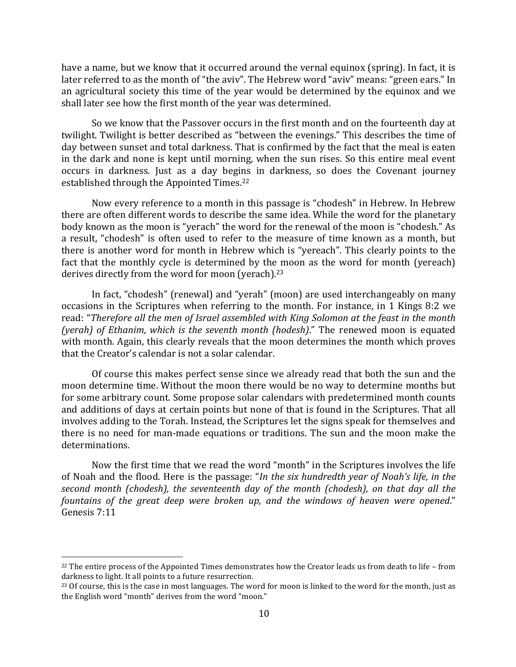have a name, but we know that it occurred around the vernal equinox (spring). In fact, it is later referred to as the month of "the aviv". The Hebrew word "aviv" means: "green ears." In an agricultural society this time of the year would be determined by the equinox and we shall later see how the first month of the year was determined.

So we know that the Passover occurs in the first month and on the fourteenth day at twilight. Twilight is better described as "between the evenings." This describes the time of day between sunset and total darkness. That is confirmed by the fact that the meal is eaten in the dark and none is kept until morning, when the sun rises. So this entire meal event occurs in darkness. Just as a day begins in darkness, so does the Covenant journey established through the Appointed Times.<sup>22</sup>

Now every reference to a month in this passage is "chodesh" in Hebrew. In Hebrew there are often different words to describe the same idea. While the word for the planetary body known as the moon is "yerach" the word for the renewal of the moon is "chodesh." As a result, "chodesh" is often used to refer to the measure of time known as a month, but there is another word for month in Hebrew which is "yereach". This clearly points to the fact that the monthly cycle is determined by the moon as the word for month (yereach) derives directly from the word for moon (yerach).<sup>23</sup>

In fact, "chodesh" (renewal) and "yerah" (moon) are used interchangeably on many occasions in the Scriptures when referring to the month. For instance, in 1 Kings 8:2 we read: "Therefore all the men of Israel assembled with King Solomon at the feast in the month *(yerah)* of *Ethanim, which is the seventh month (hodesh)*." The renewed moon is equated with month. Again, this clearly reveals that the moon determines the month which proves that the Creator's calendar is not a solar calendar.

Of course this makes perfect sense since we already read that both the sun and the moon determine time. Without the moon there would be no way to determine months but for some arbitrary count. Some propose solar calendars with predetermined month counts and additions of days at certain points but none of that is found in the Scriptures. That all involves adding to the Torah. Instead, the Scriptures let the signs speak for themselves and there is no need for man-made equations or traditions. The sun and the moon make the determinations.

Now the first time that we read the word "month" in the Scriptures involves the life of Noah and the flood. Here is the passage: "*In the six hundredth year of Noah's life, in the second month (chodesh), the seventeenth day of the month (chodesh), on that day all the fountains of the great deep were broken up, and the windows of heaven were opened."* Genesis 7:11

 $^{22}$  The entire process of the Appointed Times demonstrates how the Creator leads us from death to life – from darkness to light. It all points to a future resurrection.

<sup>&</sup>lt;sup>23</sup> Of course, this is the case in most languages. The word for moon is linked to the word for the month, just as the English word "month" derives from the word "moon."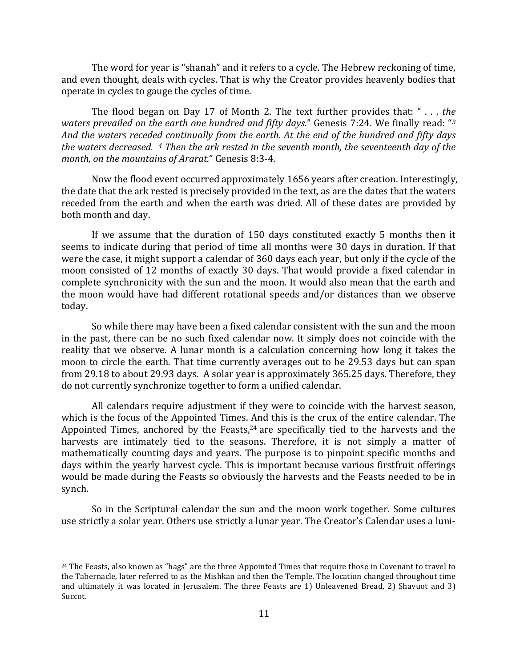The word for year is "shanah" and it refers to a cycle. The Hebrew reckoning of time, and even thought, deals with cycles. That is why the Creator provides heavenly bodies that operate in cycles to gauge the cycles of time.

The flood began on Day 17 of Month 2. The text further provides that: "... the *waters prevailed on the earth one hundred and fifty days.*" Genesis 7:24. We finally read: "<sup>3</sup> And the waters receded continually from the earth. At the end of the hundred and fifty days *the waters decreased.* 4 Then the ark rested in the seventh month, the seventeenth day of the *month, on the mountains of Ararat."* Genesis 8:3-4.

Now the flood event occurred approximately 1656 years after creation. Interestingly, the date that the ark rested is precisely provided in the text, as are the dates that the waters receded from the earth and when the earth was dried. All of these dates are provided by both month and day.

If we assume that the duration of  $150$  days constituted exactly 5 months then it seems to indicate during that period of time all months were 30 days in duration. If that were the case, it might support a calendar of 360 days each year, but only if the cycle of the moon consisted of 12 months of exactly 30 days. That would provide a fixed calendar in complete synchronicity with the sun and the moon. It would also mean that the earth and the moon would have had different rotational speeds and/or distances than we observe today.

So while there may have been a fixed calendar consistent with the sun and the moon in the past, there can be no such fixed calendar now. It simply does not coincide with the reality that we observe. A lunar month is a calculation concerning how long it takes the moon to circle the earth. That time currently averages out to be 29.53 days but can span from 29.18 to about 29.93 days. A solar year is approximately 365.25 days. Therefore, they do not currently synchronize together to form a unified calendar.

All calendars require adjustment if they were to coincide with the harvest season, which is the focus of the Appointed Times. And this is the crux of the entire calendar. The Appointed Times, anchored by the Feasts, $24$  are specifically tied to the harvests and the harvests are intimately tied to the seasons. Therefore, it is not simply a matter of mathematically counting days and years. The purpose is to pinpoint specific months and days within the yearly harvest cycle. This is important because various firstfruit offerings would be made during the Feasts so obviously the harvests and the Feasts needed to be in synch.

So in the Scriptural calendar the sun and the moon work together. Some cultures use strictly a solar year. Others use strictly a lunar year. The Creator's Calendar uses a luni-

 $24$  The Feasts, also known as "hags" are the three Appointed Times that require those in Covenant to travel to the Tabernacle, later referred to as the Mishkan and then the Temple. The location changed throughout time and ultimately it was located in Jerusalem. The three Feasts are 1) Unleavened Bread, 2) Shavuot and 3) Succot.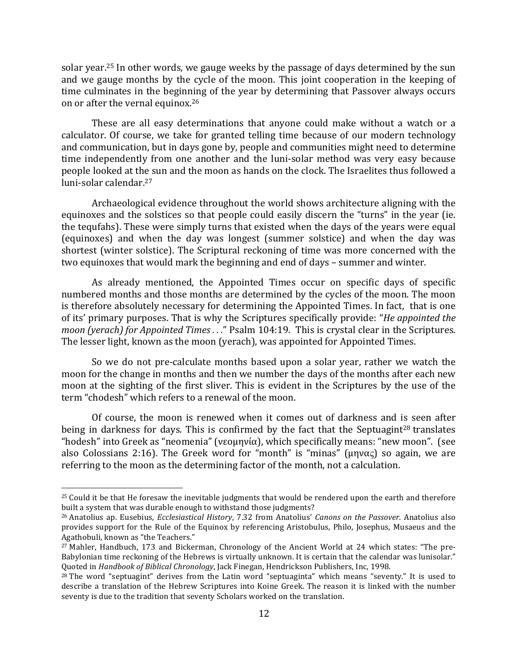solar year.<sup>25</sup> In other words, we gauge weeks by the passage of days determined by the sun and we gauge months by the cycle of the moon. This joint cooperation in the keeping of time culminates in the beginning of the year by determining that Passover always occurs on or after the vernal equinox.<sup>26</sup>

These are all easy determinations that anyone could make without a watch or a calculator. Of course, we take for granted telling time because of our modern technology and communication, but in days gone by, people and communities might need to determine time independently from one another and the luni-solar method was very easy because people looked at the sun and the moon as hands on the clock. The Israelites thus followed a luni-solar calendar.<sup>27</sup>

Archaeological evidence throughout the world shows architecture aligning with the equinoxes and the solstices so that people could easily discern the "turns" in the year (ie. the tequfahs). These were simply turns that existed when the days of the years were equal (equinoxes) and when the day was longest (summer solstice) and when the day was shortest (winter solstice). The Scriptural reckoning of time was more concerned with the two equinoxes that would mark the beginning and end of days – summer and winter.

As already mentioned, the Appointed Times occur on specific days of specific numbered months and those months are determined by the cycles of the moon. The moon is therefore absolutely necessary for determining the Appointed Times. In fact, that is one of its' primary purposes. That is why the Scriptures specifically provide: "*He appointed the moon* (yerach) for Appointed Times . . ." Psalm 104:19. This is crystal clear in the Scriptures. The lesser light, known as the moon (yerach), was appointed for Appointed Times.

So we do not pre-calculate months based upon a solar year, rather we watch the moon for the change in months and then we number the days of the months after each new moon at the sighting of the first sliver. This is evident in the Scriptures by the use of the term "chodesh" which refers to a renewal of the moon.

Of course, the moon is renewed when it comes out of darkness and is seen after being in darkness for days. This is confirmed by the fact that the Septuagint<sup>28</sup> translates "hodesh" into Greek as "neomenia" (νεομηνία), which specifically means: "new moon". (see also Colossians 2:16). The Greek word for "month" is "minas" ( $\mu \eta \nu \alpha \zeta$ ) so again, we are referring to the moon as the determining factor of the month, not a calculation.

 $25$  Could it be that He foresaw the inevitable judgments that would be rendered upon the earth and therefore built a system that was durable enough to withstand those judgments?

<sup>&</sup>lt;sup>26</sup> Anatolius ap. Eusebius, *Ecclesiastical History*, 7.32 from Anatolius' *Canons on the Passover*. Anatolius also provides support for the Rule of the Equinox by referencing Aristobulus, Philo, Josephus, Musaeus and the Agathobuli, known as "the Teachers."

 $27$  Mahler, Handbuch, 173 and Bickerman, Chronology of the Ancient World at 24 which states: "The pre-Babylonian time reckoning of the Hebrews is virtually unknown. It is certain that the calendar was lunisolar." Quoted in *Handbook of Biblical Chronology*, Jack Finegan, Hendrickson Publishers, Inc, 1998.

 $28$  The word "septuagint" derives from the Latin word "septuaginta" which means "seventy." It is used to describe a translation of the Hebrew Scriptures into Koine Greek. The reason it is linked with the number seventy is due to the tradition that seventy Scholars worked on the translation.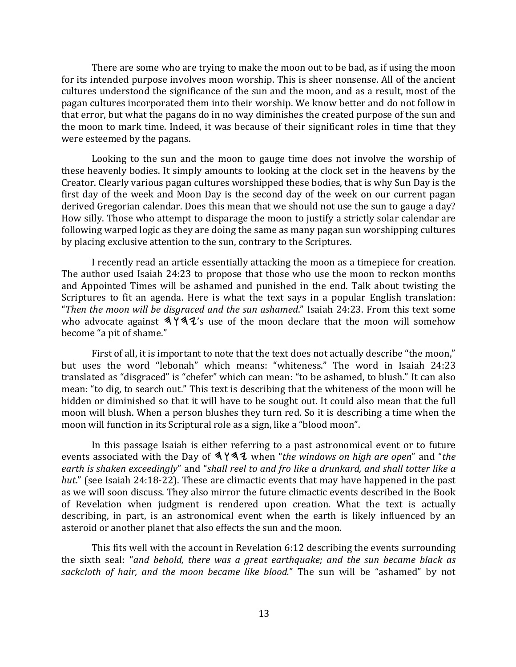There are some who are trying to make the moon out to be bad, as if using the moon for its intended purpose involves moon worship. This is sheer nonsense. All of the ancient cultures understood the significance of the sun and the moon, and as a result, most of the pagan cultures incorporated them into their worship. We know better and do not follow in that error, but what the pagans do in no way diminishes the created purpose of the sun and the moon to mark time. Indeed, it was because of their significant roles in time that they were esteemed by the pagans.

Looking to the sun and the moon to gauge time does not involve the worship of these heavenly bodies. It simply amounts to looking at the clock set in the heavens by the Creator. Clearly various pagan cultures worshipped these bodies, that is why Sun Day is the first day of the week and Moon Day is the second day of the week on our current pagan derived Gregorian calendar. Does this mean that we should not use the sun to gauge a day? How silly. Those who attempt to disparage the moon to justify a strictly solar calendar are following warped logic as they are doing the same as many pagan sun worshipping cultures by placing exclusive attention to the sun, contrary to the Scriptures.

I recently read an article essentially attacking the moon as a timepiece for creation. The author used Isaiah 24:23 to propose that those who use the moon to reckon months and Appointed Times will be ashamed and punished in the end. Talk about twisting the Scriptures to fit an agenda. Here is what the text says in a popular English translation: "Then the moon will be disgraced and the sun ashamed." Isaiah 24:23. From this text some who advocate against  $\frac{442}{s}$  use of the moon declare that the moon will somehow become "a pit of shame."

First of all, it is important to note that the text does not actually describe "the moon," but uses the word "lebonah" which means: "whiteness." The word in Isaiah 24:23 translated as "disgraced" is "chefer" which can mean: "to be ashamed, to blush." It can also mean: "to dig, to search out." This text is describing that the whiteness of the moon will be hidden or diminished so that it will have to be sought out. It could also mean that the full moon will blush. When a person blushes they turn red. So it is describing a time when the moon will function in its Scriptural role as a sign, like a "blood moon".

In this passage Isaiah is either referring to a past astronomical event or to future events associated with the Day of **3 Y 32** when "*the windows on high are open*" and "*the* earth is shaken exceedingly" and "shall reel to and fro like a drunkard, and shall totter like a *hut.*" (see Isaiah 24:18-22). These are climactic events that may have happened in the past as we will soon discuss. They also mirror the future climactic events described in the Book of Revelation when judgment is rendered upon creation. What the text is actually describing, in part, is an astronomical event when the earth is likely influenced by an asteroid or another planet that also effects the sun and the moon.

This fits well with the account in Revelation  $6:12$  describing the events surrounding the sixth seal: "*and behold, there was a great earthquake;* and *the sun became black as* sackcloth of hair, and the moon became like blood." The sun will be "ashamed" by not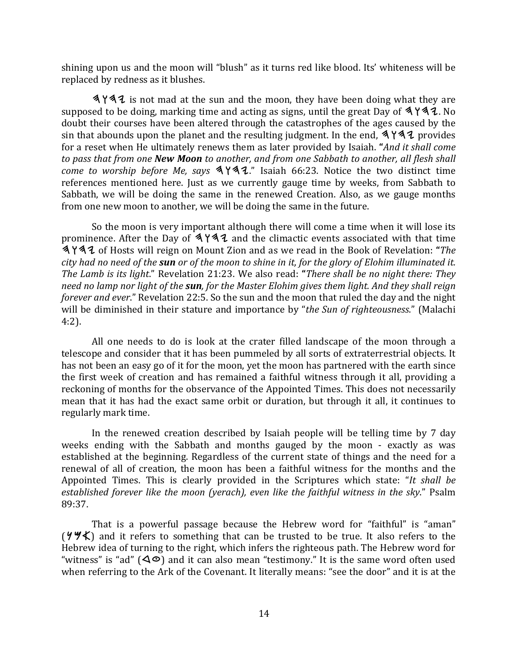shining upon us and the moon will "blush" as it turns red like blood. Its' whiteness will be replaced by redness as it blushes.

 $\frac{444}{4}$  is not mad at the sun and the moon, they have been doing what they are supposed to be doing, marking time and acting as signs, until the great Day of  $\frac{4442}{100}$ . No doubt their courses have been altered through the catastrophes of the ages caused by the sin that abounds upon the planet and the resulting judgment. In the end,  $4\frac{44}{4}$  provides for a reset when He ultimately renews them as later provided by Isaiah. "And it shall come *to* pass that from one **New Moon** to another, and from one Sabbath to another, all flesh shall *come to worship before Me, says*  $\frac{442}$ ." Isaiah 66:23. Notice the two distinct time references mentioned here. Just as we currently gauge time by weeks, from Sabbath to Sabbath, we will be doing the same in the renewed Creation. Also, as we gauge months from one new moon to another, we will be doing the same in the future.

So the moon is very important although there will come a time when it will lose its prominence. After the Day of  $\frac{442}{4}$  and the climactic events associated with that time hwhy of Hosts will reign on Mount Zion and as we read in the Book of Revelation: **"***The city* had no need of the **sun** or of the moon to shine in it, for the glory of Elohim illuminated it. *The Lamb is its light.*" Revelation 21:23. We also read: "*There shall be no night there: They need no lamp nor light of the sun, for the Master Elohim gives them light. And they shall reign forever and ever.*" Revelation 22:5. So the sun and the moon that ruled the day and the night will be diminished in their stature and importance by "*the Sun of righteousness*." (Malachi 4:2).

All one needs to do is look at the crater filled landscape of the moon through a telescope and consider that it has been pummeled by all sorts of extraterrestrial objects. It has not been an easy go of it for the moon, yet the moon has partnered with the earth since the first week of creation and has remained a faithful witness through it all, providing a reckoning of months for the observance of the Appointed Times. This does not necessarily mean that it has had the exact same orbit or duration, but through it all, it continues to regularly mark time.

In the renewed creation described by Isaiah people will be telling time by  $7$  day weeks ending with the Sabbath and months gauged by the moon - exactly as was established at the beginning. Regardless of the current state of things and the need for a renewal of all of creation, the moon has been a faithful witness for the months and the Appointed Times. This is clearly provided in the Scriptures which state: "It shall be *established forever like the moon (yerach), even like the faithful witness in the sky*." Psalm 89:37.

That is a powerful passage because the Hebrew word for "faithful" is "aman"  $(\forall \forall \xi)$  and it refers to something that can be trusted to be true. It also refers to the Hebrew idea of turning to the right, which infers the righteous path. The Hebrew word for "witness" is "ad"  $(\triangle \circ)$  and it can also mean "testimony." It is the same word often used when referring to the Ark of the Covenant. It literally means: "see the door" and it is at the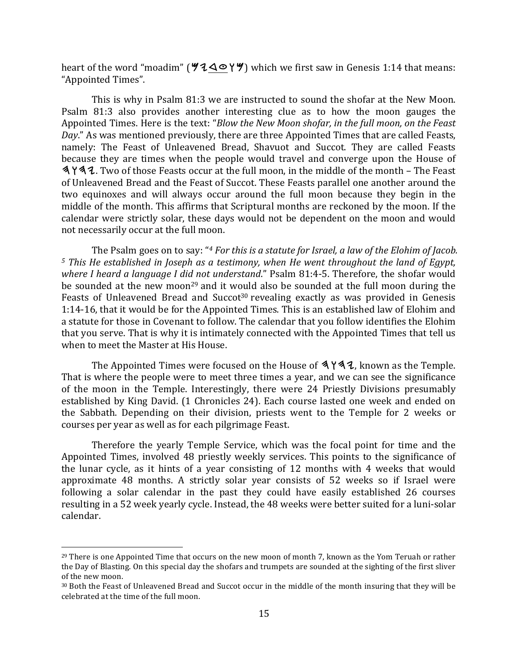heart of the word "moadim" ( $\angle 4 \triangle 0 \angle \angle 7$ ) which we first saw in Genesis 1:14 that means: "Appointed Times".

This is why in Psalm 81:3 we are instructed to sound the shofar at the New Moon. Psalm 81:3 also provides another interesting clue as to how the moon gauges the Appointed Times. Here is the text: "*Blow the New Moon shofar, in the full moon, on the Feast Day*." As was mentioned previously, there are three Appointed Times that are called Feasts, namely: The Feast of Unleavened Bread, Shavuot and Succot. They are called Feasts because they are times when the people would travel and converge upon the House of 3 Y 3 Z. Two of those Feasts occur at the full moon, in the middle of the month – The Feast of Unleavened Bread and the Feast of Succot. These Feasts parallel one another around the two equinoxes and will always occur around the full moon because they begin in the middle of the month. This affirms that Scriptural months are reckoned by the moon. If the calendar were strictly solar, these days would not be dependent on the moon and would not necessarily occur at the full moon.

The Psalm goes on to say: "<sup>4</sup> For this is a statute for Israel, a law of the Elohim of Jacob. <sup>5</sup> This He established in Joseph as a testimony, when He went throughout the land of Egypt, *where I heard a language I did not understand."* Psalm 81:4-5. Therefore, the shofar would be sounded at the new moon<sup>29</sup> and it would also be sounded at the full moon during the Feasts of Unleavened Bread and Succot<sup>30</sup> revealing exactly as was provided in Genesis 1:14-16, that it would be for the Appointed Times. This is an established law of Elohim and a statute for those in Covenant to follow. The calendar that you follow identifies the Elohim that you serve. That is why it is intimately connected with the Appointed Times that tell us when to meet the Master at His House.

The Appointed Times were focused on the House of  $\Delta Y \Delta Z$ , known as the Temple. That is where the people were to meet three times a year, and we can see the significance of the moon in the Temple. Interestingly, there were 24 Priestly Divisions presumably established by King David. (1 Chronicles 24). Each course lasted one week and ended on the Sabbath. Depending on their division, priests went to the Temple for 2 weeks or courses per year as well as for each pilgrimage Feast.

Therefore the yearly Temple Service, which was the focal point for time and the Appointed Times, involved 48 priestly weekly services. This points to the significance of the lunar cycle, as it hints of a year consisting of 12 months with 4 weeks that would approximate 48 months. A strictly solar year consists of 52 weeks so if Israel were following a solar calendar in the past they could have easily established 26 courses resulting in a 52 week yearly cycle. Instead, the 48 weeks were better suited for a luni-solar calendar.

 $^{29}$  There is one Appointed Time that occurs on the new moon of month 7, known as the Yom Teruah or rather the Day of Blasting. On this special day the shofars and trumpets are sounded at the sighting of the first sliver of the new moon.

<sup>&</sup>lt;sup>30</sup> Both the Feast of Unleavened Bread and Succot occur in the middle of the month insuring that they will be celebrated at the time of the full moon.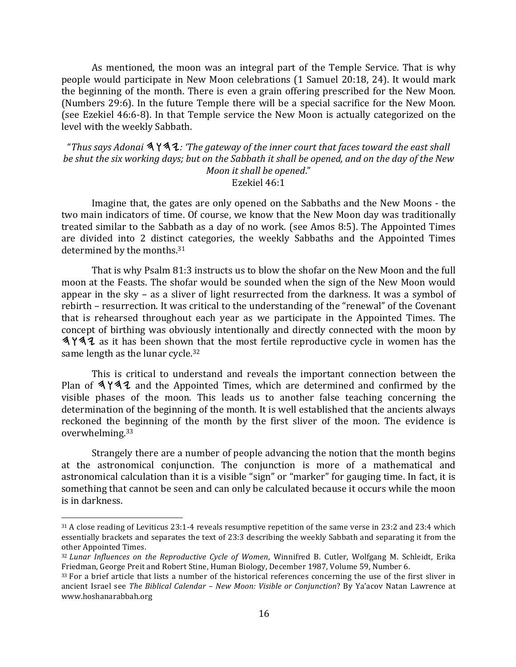As mentioned, the moon was an integral part of the Temple Service. That is why people would participate in New Moon celebrations (1 Samuel 20:18, 24). It would mark the beginning of the month. There is even a grain offering prescribed for the New Moon. (Numbers 29:6). In the future Temple there will be a special sacrifice for the New Moon. (see Ezekiel 46:6-8). In that Temple service the New Moon is actually categorized on the level with the weekly Sabbath.

"Thus says Adonai **3 Y 3 L**: 'The gateway of the inner court that faces toward the east shall *be* shut the six working days; but on the Sabbath it shall be opened, and on the day of the New *Moon it shall be opened."* Ezekiel 46:1

Imagine that, the gates are only opened on the Sabbaths and the New Moons - the two main indicators of time. Of course, we know that the New Moon day was traditionally treated similar to the Sabbath as a day of no work. (see Amos 8:5). The Appointed Times are divided into 2 distinct categories, the weekly Sabbaths and the Appointed Times determined by the months.<sup>31</sup>

That is why Psalm 81:3 instructs us to blow the shofar on the New Moon and the full moon at the Feasts. The shofar would be sounded when the sign of the New Moon would appear in the sky – as a sliver of light resurrected from the darkness. It was a symbol of rebirth – resurrection. It was critical to the understanding of the "renewal" of the Covenant that is rehearsed throughout each year as we participate in the Appointed Times. The concept of birthing was obviously intentionally and directly connected with the moon by  $\frac{444}{4}$  as it has been shown that the most fertile reproductive cycle in women has the same length as the lunar cycle.<sup>32</sup>

This is critical to understand and reveals the important connection between the Plan of  $\Delta Y \Delta Z$  and the Appointed Times, which are determined and confirmed by the visible phases of the moon. This leads us to another false teaching concerning the determination of the beginning of the month. It is well established that the ancients always reckoned the beginning of the month by the first sliver of the moon. The evidence is overwhelming.33

Strangely there are a number of people advancing the notion that the month begins at the astronomical conjunction. The conjunction is more of a mathematical and astronomical calculation than it is a visible "sign" or "marker" for gauging time. In fact, it is something that cannot be seen and can only be calculated because it occurs while the moon is in darkness.

 $31$  A close reading of Leviticus 23:1-4 reveals resumptive repetition of the same verse in 23:2 and 23:4 which essentially brackets and separates the text of 23:3 describing the weekly Sabbath and separating it from the other Appointed Times.

<sup>32</sup> *Lunar Influences on the Reproductive Cycle of Women*, Winnifred B. Cutler, Wolfgang M. Schleidt, Erika Friedman, George Preit and Robert Stine, Human Biology, December 1987, Volume 59, Number 6.

<sup>33</sup> For a brief article that lists a number of the historical references concerning the use of the first sliver in ancient Israel see *The Biblical Calendar* – *New Moon: Visible or Conjunction*? By Ya'acov Natan Lawrence at www.hoshanarabbah.org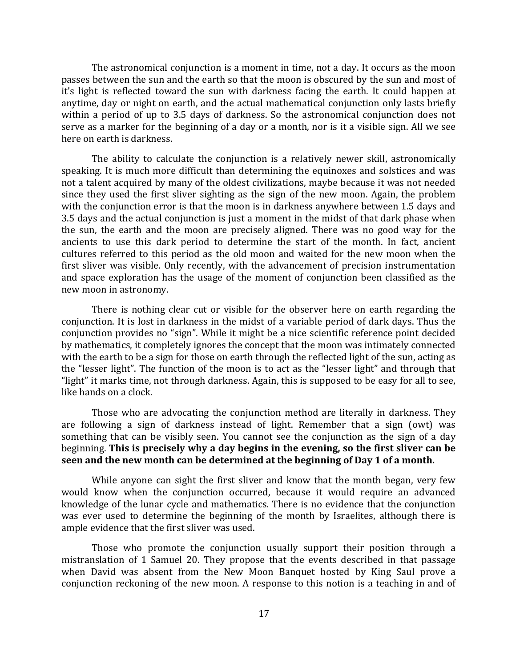The astronomical conjunction is a moment in time, not a day. It occurs as the moon passes between the sun and the earth so that the moon is obscured by the sun and most of it's light is reflected toward the sun with darkness facing the earth. It could happen at anytime, day or night on earth, and the actual mathematical conjunction only lasts briefly within a period of up to 3.5 days of darkness. So the astronomical conjunction does not serve as a marker for the beginning of a day or a month, nor is it a visible sign. All we see here on earth is darkness.

The ability to calculate the conjunction is a relatively newer skill, astronomically speaking. It is much more difficult than determining the equinoxes and solstices and was not a talent acquired by many of the oldest civilizations, maybe because it was not needed since they used the first sliver sighting as the sign of the new moon. Again, the problem with the conjunction error is that the moon is in darkness anywhere between 1.5 days and 3.5 days and the actual conjunction is just a moment in the midst of that dark phase when the sun, the earth and the moon are precisely aligned. There was no good way for the ancients to use this dark period to determine the start of the month. In fact, ancient cultures referred to this period as the old moon and waited for the new moon when the first sliver was visible. Only recently, with the advancement of precision instrumentation and space exploration has the usage of the moment of conjunction been classified as the new moon in astronomy.

There is nothing clear cut or visible for the observer here on earth regarding the conjunction. It is lost in darkness in the midst of a variable period of dark days. Thus the conjunction provides no "sign". While it might be a nice scientific reference point decided by mathematics, it completely ignores the concept that the moon was intimately connected with the earth to be a sign for those on earth through the reflected light of the sun, acting as the "lesser light". The function of the moon is to act as the "lesser light" and through that "light" it marks time, not through darkness. Again, this is supposed to be easy for all to see, like hands on a clock.

Those who are advocating the conjunction method are literally in darkness. They are following a sign of darkness instead of light. Remember that a sign (owt) was something that can be visibly seen. You cannot see the conjunction as the sign of a day beginning. This is precisely why a day begins in the evening, so the first sliver can be **seen and the new month can be determined at the beginning of Day 1 of a month.** 

While anyone can sight the first sliver and know that the month began, very few would know when the conjunction occurred, because it would require an advanced knowledge of the lunar cycle and mathematics. There is no evidence that the conjunction was ever used to determine the beginning of the month by Israelites, although there is ample evidence that the first sliver was used.

Those who promote the conjunction usually support their position through a mistranslation of 1 Samuel 20. They propose that the events described in that passage when David was absent from the New Moon Banquet hosted by King Saul prove a conjunction reckoning of the new moon. A response to this notion is a teaching in and of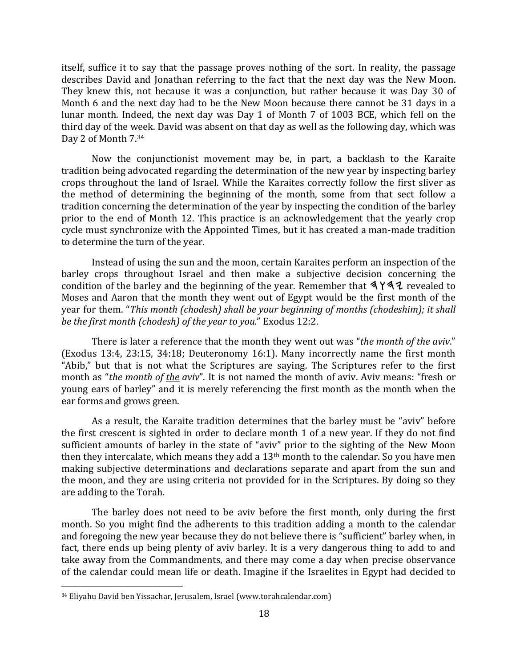itself, suffice it to say that the passage proves nothing of the sort. In reality, the passage describes David and Jonathan referring to the fact that the next day was the New Moon. They knew this, not because it was a conjunction, but rather because it was Day 30 of Month 6 and the next day had to be the New Moon because there cannot be 31 days in a lunar month. Indeed, the next day was Day 1 of Month 7 of 1003 BCE, which fell on the third day of the week. David was absent on that day as well as the following day, which was Day 2 of Month 7.34

Now the conjunctionist movement may be, in part, a backlash to the Karaite tradition being advocated regarding the determination of the new year by inspecting barley crops throughout the land of Israel. While the Karaites correctly follow the first sliver as the method of determining the beginning of the month, some from that sect follow a tradition concerning the determination of the year by inspecting the condition of the barley prior to the end of Month 12. This practice is an acknowledgement that the yearly crop cycle must synchronize with the Appointed Times, but it has created a man-made tradition to determine the turn of the year.

Instead of using the sun and the moon, certain Karaites perform an inspection of the barley crops throughout Israel and then make a subjective decision concerning the condition of the barley and the beginning of the year. Remember that  $\Delta Y \Delta Z$  revealed to Moses and Aaron that the month they went out of Egypt would be the first month of the year for them. "*This month (chodesh)* shall be your beginning of months (chodeshim); it shall *be the first month (chodesh) of the year to you."* Exodus 12:2.

There is later a reference that the month they went out was "*the month of the aviv*." (Exodus 13:4, 23:15, 34:18; Deuteronomy 16:1). Many incorrectly name the first month "Abib," but that is not what the Scriptures are saying. The Scriptures refer to the first month as "*the month of the aviv*". It is not named the month of aviv. Aviv means: "fresh or young ears of barley" and it is merely referencing the first month as the month when the ear forms and grows green.

As a result, the Karaite tradition determines that the barley must be "aviv" before the first crescent is sighted in order to declare month 1 of a new year. If they do not find sufficient amounts of barley in the state of "aviv" prior to the sighting of the New Moon then they intercalate, which means they add a  $13<sup>th</sup>$  month to the calendar. So you have men making subjective determinations and declarations separate and apart from the sun and the moon, and they are using criteria not provided for in the Scriptures. By doing so they are adding to the Torah.

The barley does not need to be aviv before the first month, only during the first month. So you might find the adherents to this tradition adding a month to the calendar and foregoing the new year because they do not believe there is "sufficient" barley when, in fact, there ends up being plenty of aviv barley. It is a very dangerous thing to add to and take away from the Commandments, and there may come a day when precise observance of the calendar could mean life or death. Imagine if the Israelites in Egypt had decided to

<sup>&</sup>lt;sup>34</sup> Eliyahu David ben Yissachar, Jerusalem, Israel (www.torahcalendar.com)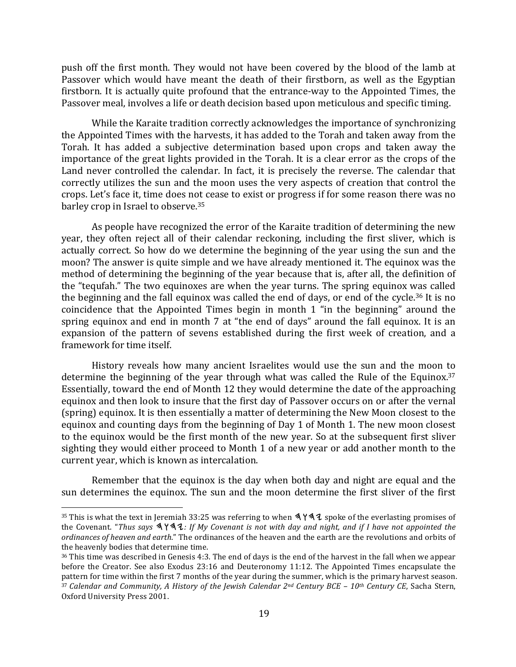push off the first month. They would not have been covered by the blood of the lamb at Passover which would have meant the death of their firstborn, as well as the Egyptian firstborn. It is actually quite profound that the entrance-way to the Appointed Times, the Passover meal, involves a life or death decision based upon meticulous and specific timing.

While the Karaite tradition correctly acknowledges the importance of synchronizing the Appointed Times with the harvests, it has added to the Torah and taken away from the Torah. It has added a subjective determination based upon crops and taken away the importance of the great lights provided in the Torah. It is a clear error as the crops of the Land never controlled the calendar. In fact, it is precisely the reverse. The calendar that correctly utilizes the sun and the moon uses the very aspects of creation that control the crops. Let's face it, time does not cease to exist or progress if for some reason there was no barley crop in Israel to observe.<sup>35</sup>

As people have recognized the error of the Karaite tradition of determining the new year, they often reject all of their calendar reckoning, including the first sliver, which is actually correct. So how do we determine the beginning of the year using the sun and the moon? The answer is quite simple and we have already mentioned it. The equinox was the method of determining the beginning of the year because that is, after all, the definition of the "tequfah." The two equinoxes are when the year turns. The spring equinox was called the beginning and the fall equinox was called the end of days, or end of the cycle.<sup>36</sup> It is no coincidence that the Appointed Times begin in month 1 "in the beginning" around the spring equinox and end in month  $7$  at "the end of days" around the fall equinox. It is an expansion of the pattern of sevens established during the first week of creation, and a framework for time itself.

History reveals how many ancient Israelites would use the sun and the moon to determine the beginning of the year through what was called the Rule of the Equinox.<sup>37</sup> Essentially, toward the end of Month 12 they would determine the date of the approaching equinox and then look to insure that the first day of Passover occurs on or after the vernal (spring) equinox. It is then essentially a matter of determining the New Moon closest to the equinox and counting days from the beginning of Day 1 of Month 1. The new moon closest to the equinox would be the first month of the new year. So at the subsequent first sliver sighting they would either proceed to Month 1 of a new year or add another month to the current year, which is known as intercalation.

Remember that the equinox is the day when both day and night are equal and the sun determines the equinox. The sun and the moon determine the first sliver of the first

<sup>&</sup>lt;sup>35</sup> This is what the text in Jeremiah 33:25 was referring to when  $\Delta$   $\Delta$  apoke of the everlasting promises of the Covenant. "Thus says  $\mathcal{A} \mathcal{Y} \mathcal{A}$ : If My Covenant is not with day and night, and if I have not appointed the *ordinances of heaven and earth*." The ordinances of the heaven and the earth are the revolutions and orbits of the heavenly bodies that determine time.

 $36$  This time was described in Genesis 4:3. The end of days is the end of the harvest in the fall when we appear before the Creator. See also Exodus  $23:16$  and Deuteronomy 11:12. The Appointed Times encapsulate the pattern for time within the first 7 months of the year during the summer, which is the primary harvest season. <sup>37</sup> Calendar and Community, A History of the Jewish Calendar  $2^{nd}$  Century BCE - 10<sup>th</sup> Century CE, Sacha Stern, Oxford University Press 2001.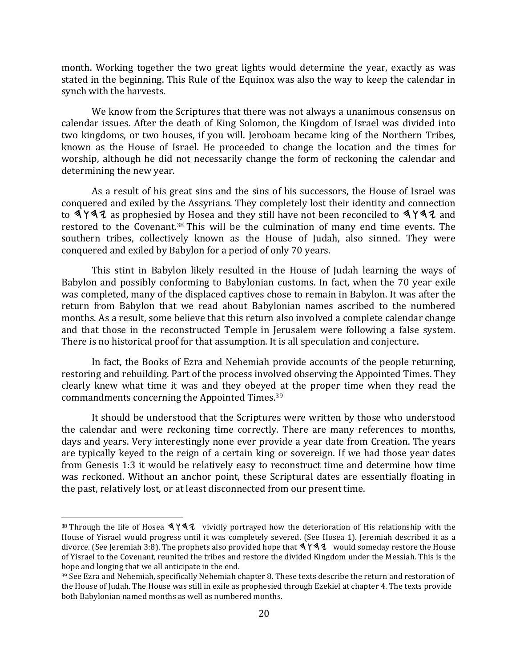month. Working together the two great lights would determine the year, exactly as was stated in the beginning. This Rule of the Equinox was also the way to keep the calendar in synch with the harvests.

We know from the Scriptures that there was not always a unanimous consensus on calendar issues. After the death of King Solomon, the Kingdom of Israel was divided into two kingdoms, or two houses, if you will. Jeroboam became king of the Northern Tribes, known as the House of Israel. He proceeded to change the location and the times for worship, although he did not necessarily change the form of reckoning the calendar and determining the new year.

As a result of his great sins and the sins of his successors, the House of Israel was conquered and exiled by the Assyrians. They completely lost their identity and connection to  $4$  Y  $4$  as prophesied by Hosea and they still have not been reconciled to  $4$  Y  $4$  and restored to the Covenant.<sup>38</sup> This will be the culmination of many end time events. The southern tribes, collectively known as the House of Judah, also sinned. They were conquered and exiled by Babylon for a period of only 70 years.

This stint in Babylon likely resulted in the House of Judah learning the ways of Babylon and possibly conforming to Babylonian customs. In fact, when the 70 year exile was completed, many of the displaced captives chose to remain in Babylon. It was after the return from Babylon that we read about Babylonian names ascribed to the numbered months. As a result, some believe that this return also involved a complete calendar change and that those in the reconstructed Temple in Jerusalem were following a false system. There is no historical proof for that assumption. It is all speculation and conjecture.

In fact, the Books of Ezra and Nehemiah provide accounts of the people returning, restoring and rebuilding. Part of the process involved observing the Appointed Times. They clearly knew what time it was and they obeyed at the proper time when they read the commandments concerning the Appointed Times.<sup>39</sup>

It should be understood that the Scriptures were written by those who understood the calendar and were reckoning time correctly. There are many references to months, days and years. Very interestingly none ever provide a year date from Creation. The years are typically keyed to the reign of a certain king or sovereign. If we had those year dates from Genesis 1:3 it would be relatively easy to reconstruct time and determine how time was reckoned. Without an anchor point, these Scriptural dates are essentially floating in the past, relatively lost, or at least disconnected from our present time.

 $38$  Through the life of Hosea  $\Diamond$  Y $\Diamond$   $\Diamond$  vividly portrayed how the deterioration of His relationship with the House of Yisrael would progress until it was completely severed. (See Hosea 1). Jeremiah described it as a divorce. (See Jeremiah 3:8). The prophets also provided hope that  $\sqrt[4]{42}$  would someday restore the House of Yisrael to the Covenant, reunited the tribes and restore the divided Kingdom under the Messiah. This is the hope and longing that we all anticipate in the end.

 $39$  See Ezra and Nehemiah, specifically Nehemiah chapter 8. These texts describe the return and restoration of the House of Judah. The House was still in exile as prophesied through Ezekiel at chapter 4. The texts provide both Babylonian named months as well as numbered months.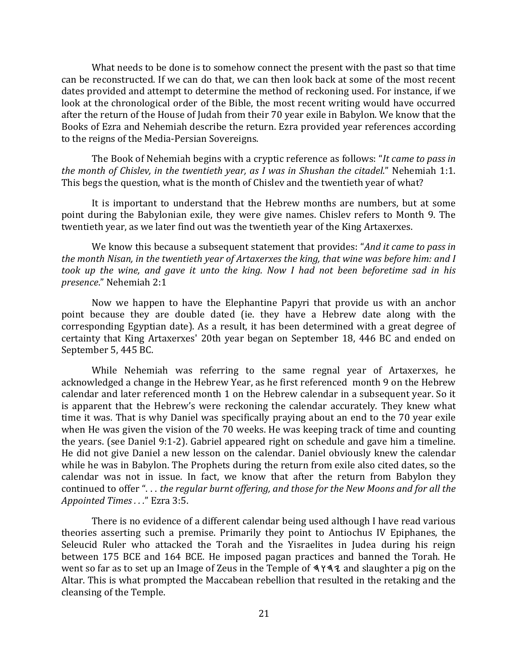What needs to be done is to somehow connect the present with the past so that time can be reconstructed. If we can do that, we can then look back at some of the most recent dates provided and attempt to determine the method of reckoning used. For instance, if we look at the chronological order of the Bible, the most recent writing would have occurred after the return of the House of Judah from their 70 year exile in Babylon. We know that the Books of Ezra and Nehemiah describe the return. Ezra provided year references according to the reigns of the Media-Persian Sovereigns.

The Book of Nehemiah begins with a cryptic reference as follows: "*It came to pass in the month of Chislev, in the twentieth year, as I was in Shushan the citadel.*" Nehemiah 1:1. This begs the question, what is the month of Chislev and the twentieth year of what?

It is important to understand that the Hebrew months are numbers, but at some point during the Babylonian exile, they were give names. Chisley refers to Month 9. The twentieth year, as we later find out was the twentieth year of the King Artaxerxes.

We know this because a subsequent statement that provides: "*And it came to pass in the month Nisan, in the twentieth year of Artaxerxes the king, that wine was before him: and I took up the wine, and gave it unto the king. Now I had not been beforetime sad in his presence*." Nehemiah 2:1

Now we happen to have the Elephantine Papyri that provide us with an anchor point because they are double dated (ie. they have a Hebrew date along with the corresponding Egyptian date). As a result, it has been determined with a great degree of certainty that King Artaxerxes' 20th year began on September 18, 446 BC and ended on September 5, 445 BC.

While Nehemiah was referring to the same regnal year of Artaxerxes, he acknowledged a change in the Hebrew Year, as he first referenced month 9 on the Hebrew calendar and later referenced month 1 on the Hebrew calendar in a subsequent year. So it is apparent that the Hebrew's were reckoning the calendar accurately. They knew what time it was. That is why Daniel was specifically praying about an end to the 70 year exile when He was given the vision of the 70 weeks. He was keeping track of time and counting the vears. (see Daniel 9:1-2). Gabriel appeared right on schedule and gave him a timeline. He did not give Daniel a new lesson on the calendar. Daniel obviously knew the calendar while he was in Babylon. The Prophets during the return from exile also cited dates, so the calendar was not in issue. In fact, we know that after the return from Babylon they continued to offer "... the regular burnt offering, and those for the New Moons and for all the *Appointed Times . . .*" Ezra 3:5.

There is no evidence of a different calendar being used although I have read various theories asserting such a premise. Primarily they point to Antiochus IV Epiphanes, the Seleucid Ruler who attacked the Torah and the Yisraelites in Judea during his reign between 175 BCE and 164 BCE. He imposed pagan practices and banned the Torah. He went so far as to set up an Image of Zeus in the Temple of  $\Delta Y \Delta Z$  and slaughter a pig on the Altar. This is what prompted the Maccabean rebellion that resulted in the retaking and the cleansing of the Temple.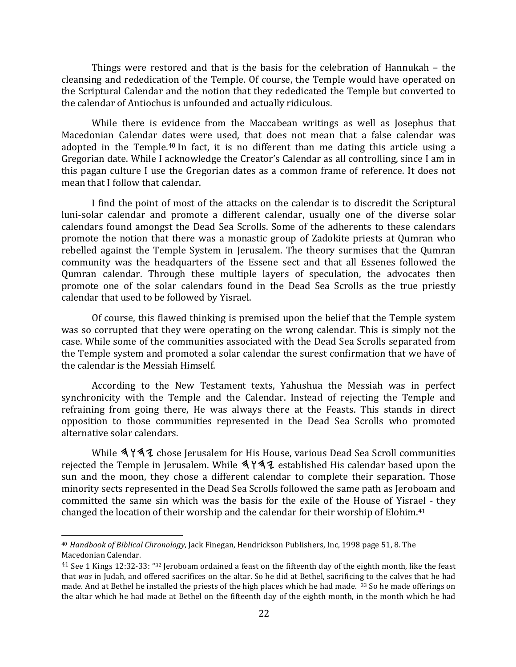Things were restored and that is the basis for the celebration of Hannukah  $-$  the cleansing and rededication of the Temple. Of course, the Temple would have operated on the Scriptural Calendar and the notion that they rededicated the Temple but converted to the calendar of Antiochus is unfounded and actually ridiculous.

While there is evidence from the Maccabean writings as well as Josephus that Macedonian Calendar dates were used, that does not mean that a false calendar was adopted in the Temple.<sup>40</sup> In fact, it is no different than me dating this article using a Gregorian date. While I acknowledge the Creator's Calendar as all controlling, since I am in this pagan culture I use the Gregorian dates as a common frame of reference. It does not mean that I follow that calendar.

I find the point of most of the attacks on the calendar is to discredit the Scriptural luni-solar calendar and promote a different calendar, usually one of the diverse solar calendars found amongst the Dead Sea Scrolls. Some of the adherents to these calendars promote the notion that there was a monastic group of Zadokite priests at Qumran who rebelled against the Temple System in Jerusalem. The theory surmises that the Qumran community was the headquarters of the Essene sect and that all Essenes followed the Qumran calendar. Through these multiple layers of speculation, the advocates then promote one of the solar calendars found in the Dead Sea Scrolls as the true priestly calendar that used to be followed by Yisrael.

Of course, this flawed thinking is premised upon the belief that the Temple system was so corrupted that they were operating on the wrong calendar. This is simply not the case. While some of the communities associated with the Dead Sea Scrolls separated from the Temple system and promoted a solar calendar the surest confirmation that we have of the calendar is the Messiah Himself.

According to the New Testament texts, Yahushua the Messiah was in perfect synchronicity with the Temple and the Calendar. Instead of rejecting the Temple and refraining from going there, He was always there at the Feasts. This stands in direct opposition to those communities represented in the Dead Sea Scrolls who promoted alternative solar calendars.

While  $\Delta Y \Delta Z$  chose Jerusalem for His House, various Dead Sea Scroll communities rejected the Temple in Jerusalem. While  $\Delta Y \Delta Z$  established His calendar based upon the sun and the moon, they chose a different calendar to complete their separation. Those minority sects represented in the Dead Sea Scrolls followed the same path as Jeroboam and committed the same sin which was the basis for the exile of the House of Yisrael - they changed the location of their worship and the calendar for their worship of Elohim.<sup>41</sup>

<sup>&</sup>lt;sup>40</sup> Handbook of Biblical Chronology, Jack Finegan, Hendrickson Publishers, Inc, 1998 page 51, 8. The Macedonian Calendar.

<sup>&</sup>lt;sup>41</sup> See 1 Kings 12:32-33: "<sup>32</sup> Jeroboam ordained a feast on the fifteenth day of the eighth month, like the feast that was in Judah, and offered sacrifices on the altar. So he did at Bethel, sacrificing to the calves that he had made. And at Bethel he installed the priests of the high places which he had made.  $33$  So he made offerings on the altar which he had made at Bethel on the fifteenth day of the eighth month, in the month which he had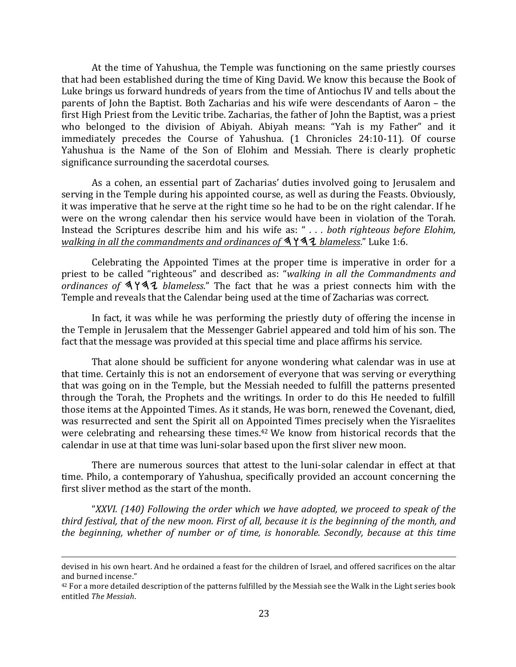At the time of Yahushua, the Temple was functioning on the same priestly courses that had been established during the time of King David. We know this because the Book of Luke brings us forward hundreds of years from the time of Antiochus IV and tells about the parents of John the Baptist. Both Zacharias and his wife were descendants of Aaron – the first High Priest from the Levitic tribe. Zacharias, the father of John the Baptist, was a priest who belonged to the division of Abiyah. Abiyah means: "Yah is my Father" and it immediately precedes the Course of Yahushua. (1 Chronicles 24:10-11). Of course Yahushua is the Name of the Son of Elohim and Messiah. There is clearly prophetic significance surrounding the sacerdotal courses.

As a cohen, an essential part of Zacharias' duties involved going to Jerusalem and serving in the Temple during his appointed course, as well as during the Feasts. Obviously, it was imperative that he serve at the right time so he had to be on the right calendar. If he were on the wrong calendar then his service would have been in violation of the Torah. Instead the Scriptures describe him and his wife as: " . . . both righteous before Elohim, *walking in all the commandments and ordinances of*  $\frac{444}{4}$  *blameless*." Luke 1:6.

Celebrating the Appointed Times at the proper time is imperative in order for a priest to be called "righteous" and described as: "*walking* in all the Commandments and *ordinances of*  $4$   $4$   $4$  *blameless.*" The fact that he was a priest connects him with the Temple and reveals that the Calendar being used at the time of Zacharias was correct.

In fact, it was while he was performing the priestly duty of offering the incense in the Temple in Jerusalem that the Messenger Gabriel appeared and told him of his son. The fact that the message was provided at this special time and place affirms his service.

That alone should be sufficient for anyone wondering what calendar was in use at that time. Certainly this is not an endorsement of everyone that was serving or everything that was going on in the Temple, but the Messiah needed to fulfill the patterns presented through the Torah, the Prophets and the writings. In order to do this He needed to fulfill those items at the Appointed Times. As it stands, He was born, renewed the Covenant, died, was resurrected and sent the Spirit all on Appointed Times precisely when the Yisraelites were celebrating and rehearsing these times.<sup>42</sup> We know from historical records that the calendar in use at that time was luni-solar based upon the first sliver new moon.

There are numerous sources that attest to the luni-solar calendar in effect at that time. Philo, a contemporary of Yahushua, specifically provided an account concerning the first sliver method as the start of the month.

"XXVI. (140) Following the order which we have adopted, we proceed to speak of the *third festival, that of the new moon. First of all, because it is the beginning of the month, and the beginning, whether of number or of time, is honorable. Secondly, because at this time* 

<sup>&</sup>lt;u> 1989 - Andrea Santa Andrea Andrea Andrea Andrea Andrea Andrea Andrea Andrea Andrea Andrea Andrea Andrea Andr</u> devised in his own heart. And he ordained a feast for the children of Israel, and offered sacrifices on the altar and burned incense."

<sup>&</sup>lt;sup>42</sup> For a more detailed description of the patterns fulfilled by the Messiah see the Walk in the Light series book entitled *The Messiah*.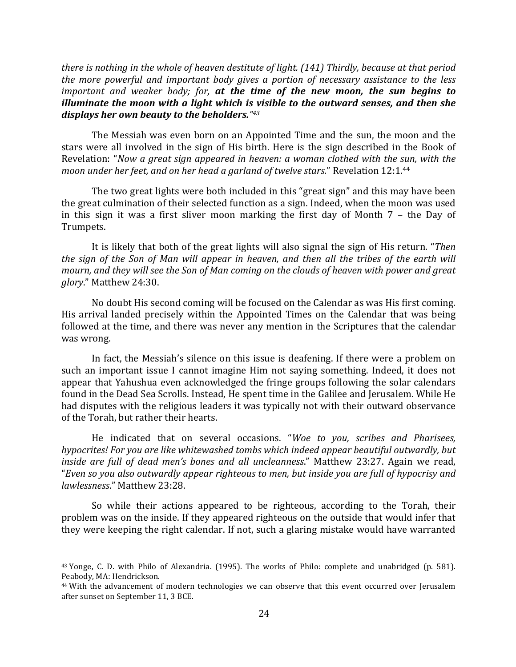*there is nothing in the whole of heaven destitute of light.* (141) Thirdly, because at that period *the more powerful and important body gives a portion of necessary assistance to the less important and weaker body; for, at the time of the new moon, the sun begins to illuminate the moon with a light which is visible to the outward senses, and then she displays her own beauty to the beholders."43* 

The Messiah was even born on an Appointed Time and the sun, the moon and the stars were all involved in the sign of His birth. Here is the sign described in the Book of Revelation: "*Now a great sign appeared in heaven: a woman clothed with the sun, with the moon under her feet, and on her head a garland of twelve stars.*" Revelation 12:1.<sup>44</sup>

The two great lights were both included in this "great sign" and this may have been the great culmination of their selected function as a sign. Indeed, when the moon was used in this sign it was a first sliver moon marking the first day of Month  $7$  – the Day of Trumpets.

It is likely that both of the great lights will also signal the sign of His return. "*Then the sign of the Son of Man will appear in heaven, and then all the tribes of the earth will mourn, and they will see the Son of Man coming on the clouds of heaven with power and great glory*." Matthew 24:30.

No doubt His second coming will be focused on the Calendar as was His first coming. His arrival landed precisely within the Appointed Times on the Calendar that was being followed at the time, and there was never any mention in the Scriptures that the calendar was wrong.

In fact, the Messiah's silence on this issue is deafening. If there were a problem on such an important issue I cannot imagine Him not saying something. Indeed, it does not appear that Yahushua even acknowledged the fringe groups following the solar calendars found in the Dead Sea Scrolls. Instead, He spent time in the Galilee and Jerusalem. While He had disputes with the religious leaders it was typically not with their outward observance of the Torah, but rather their hearts.

He indicated that on several occasions. "Woe to you, scribes and Pharisees, *hypocrites! For you are like whitewashed tombs which indeed appear beautiful outwardly, but inside are full of dead men's bones and all uncleanness.*" Matthew 23:27. Again we read, "*Even so you also outwardly appear righteous to men, but inside you are full of hypocrisy and lawlessness*." Matthew 23:28.

So while their actions appeared to be righteous, according to the Torah, their problem was on the inside. If they appeared righteous on the outside that would infer that they were keeping the right calendar. If not, such a glaring mistake would have warranted

 $43$  Yonge, C. D. with Philo of Alexandria. (1995). The works of Philo: complete and unabridged (p. 581). Peabody, MA: Hendrickson.

 $44$  With the advancement of modern technologies we can observe that this event occurred over Jerusalem after sunset on September 11, 3 BCE.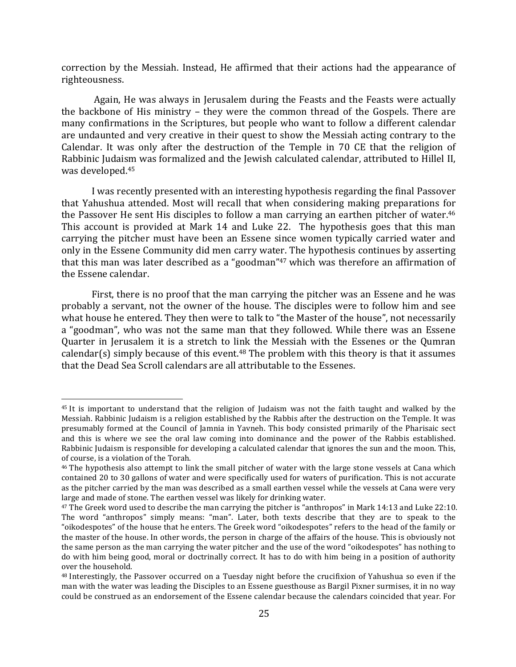correction by the Messiah. Instead, He affirmed that their actions had the appearance of righteousness.

Again, He was always in Jerusalem during the Feasts and the Feasts were actually the backbone of His ministry  $-$  they were the common thread of the Gospels. There are many confirmations in the Scriptures, but people who want to follow a different calendar are undaunted and very creative in their quest to show the Messiah acting contrary to the Calendar. It was only after the destruction of the Temple in 70 CE that the religion of Rabbinic Judaism was formalized and the Jewish calculated calendar, attributed to Hillel II, was developed.<sup>45</sup>

I was recently presented with an interesting hypothesis regarding the final Passover that Yahushua attended. Most will recall that when considering making preparations for the Passover He sent His disciples to follow a man carrying an earthen pitcher of water.<sup>46</sup> This account is provided at Mark 14 and Luke 22. The hypothesis goes that this man carrying the pitcher must have been an Essene since women typically carried water and only in the Essene Community did men carry water. The hypothesis continues by asserting that this man was later described as a "goodman"<sup>47</sup> which was therefore an affirmation of the Essene calendar.

First, there is no proof that the man carrying the pitcher was an Essene and he was probably a servant, not the owner of the house. The disciples were to follow him and see what house he entered. They then were to talk to "the Master of the house", not necessarily a "goodman", who was not the same man that they followed. While there was an Essene Quarter in Jerusalem it is a stretch to link the Messiah with the Essenes or the Qumran calendar(s) simply because of this event.<sup>48</sup> The problem with this theory is that it assumes that the Dead Sea Scroll calendars are all attributable to the Essenes.

 $45$  It is important to understand that the religion of Judaism was not the faith taught and walked by the Messiah. Rabbinic Judaism is a religion established by the Rabbis after the destruction on the Temple. It was presumably formed at the Council of Jamnia in Yavneh. This body consisted primarily of the Pharisaic sect and this is where we see the oral law coming into dominance and the power of the Rabbis established. Rabbinic Judaism is responsible for developing a calculated calendar that ignores the sun and the moon. This, of course, is a violation of the Torah.

<sup>&</sup>lt;sup>46</sup> The hypothesis also attempt to link the small pitcher of water with the large stone vessels at Cana which contained 20 to 30 gallons of water and were specifically used for waters of purification. This is not accurate as the pitcher carried by the man was described as a small earthen vessel while the vessels at Cana were very large and made of stone. The earthen vessel was likely for drinking water.

<sup>&</sup>lt;sup>47</sup> The Greek word used to describe the man carrying the pitcher is "anthropos" in Mark 14:13 and Luke 22:10. The word "anthropos" simply means: "man". Later, both texts describe that they are to speak to the "oikodespotes" of the house that he enters. The Greek word "oikodespotes" refers to the head of the family or the master of the house. In other words, the person in charge of the affairs of the house. This is obviously not the same person as the man carrying the water pitcher and the use of the word "oikodespotes" has nothing to do with him being good, moral or doctrinally correct. It has to do with him being in a position of authority over the household.

<sup>&</sup>lt;sup>48</sup> Interestingly, the Passover occurred on a Tuesday night before the crucifixion of Yahushua so even if the man with the water was leading the Disciples to an Essene guesthouse as Bargil Pixner surmises, it in no way could be construed as an endorsement of the Essene calendar because the calendars coincided that year. For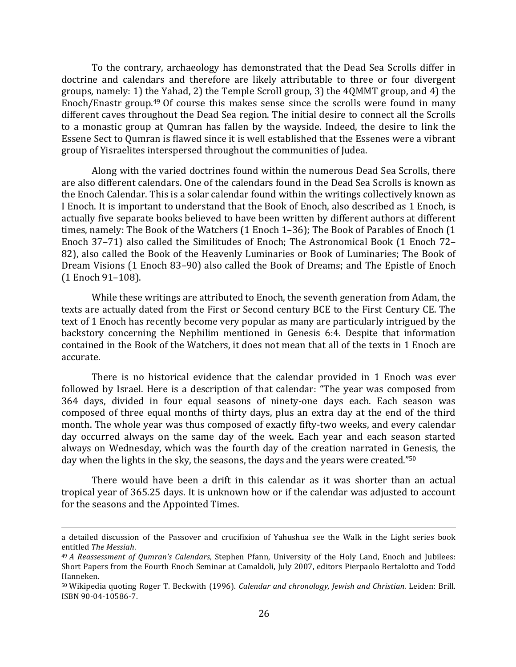To the contrary, archaeology has demonstrated that the Dead Sea Scrolls differ in doctrine and calendars and therefore are likely attributable to three or four divergent groups, namely: 1) the Yahad, 2) the Temple Scroll group, 3) the  $4QMMT$  group, and  $4$ ) the Enoch/Enastr group.<sup>49</sup> Of course this makes sense since the scrolls were found in many different caves throughout the Dead Sea region. The initial desire to connect all the Scrolls to a monastic group at Qumran has fallen by the wayside. Indeed, the desire to link the Essene Sect to Qumran is flawed since it is well established that the Essenes were a vibrant group of Yisraelites interspersed throughout the communities of Judea.

Along with the varied doctrines found within the numerous Dead Sea Scrolls, there are also different calendars. One of the calendars found in the Dead Sea Scrolls is known as the Enoch Calendar. This is a solar calendar found within the writings collectively known as I Enoch. It is important to understand that the Book of Enoch, also described as 1 Enoch, is actually five separate books believed to have been written by different authors at different times, namely: The Book of the Watchers (1 Enoch 1-36); The Book of Parables of Enoch (1 Enoch 37-71) also called the Similitudes of Enoch; The Astronomical Book (1 Enoch 72– 82), also called the Book of the Heavenly Luminaries or Book of Luminaries; The Book of Dream Visions (1 Enoch 83–90) also called the Book of Dreams; and The Epistle of Enoch (1 Enoch 91–108).

While these writings are attributed to Enoch, the seventh generation from Adam, the texts are actually dated from the First or Second century BCE to the First Century CE. The text of 1 Enoch has recently become very popular as many are particularly intrigued by the backstory concerning the Nephilim mentioned in Genesis 6:4. Despite that information contained in the Book of the Watchers, it does not mean that all of the texts in 1 Enoch are accurate.

There is no historical evidence that the calendar provided in  $1$  Enoch was ever followed by Israel. Here is a description of that calendar: "The year was composed from 364 days, divided in four equal seasons of ninety-one days each. Each season was composed of three equal months of thirty days, plus an extra day at the end of the third month. The whole year was thus composed of exactly fifty-two weeks, and every calendar day occurred always on the same day of the week. Each year and each season started always on Wednesday, which was the fourth day of the creation narrated in Genesis, the day when the lights in the sky, the seasons, the days and the years were created."<sup>50</sup>

There would have been a drift in this calendar as it was shorter than an actual tropical year of 365.25 days. It is unknown how or if the calendar was adjusted to account for the seasons and the Appointed Times.

<sup>&</sup>lt;u> 1989 - Andrea Santa Andrea Andrea Andrea Andrea Andrea Andrea Andrea Andrea Andrea Andrea Andrea Andrea Andr</u> a detailed discussion of the Passover and crucifixion of Yahushua see the Walk in the Light series book entitled *The Messiah*.

<sup>&</sup>lt;sup>49</sup> *A* Reassessment of Qumran's Calendars, Stephen Pfann, University of the Holy Land, Enoch and Jubilees: Short Papers from the Fourth Enoch Seminar at Camaldoli, July 2007, editors Pierpaolo Bertalotto and Todd Hanneken.

<sup>50</sup> Wikipedia quoting Roger T. Beckwith (1996). *Calendar and chronology, Jewish and Christian*. Leiden: Brill. ISBN 90-04-10586-7.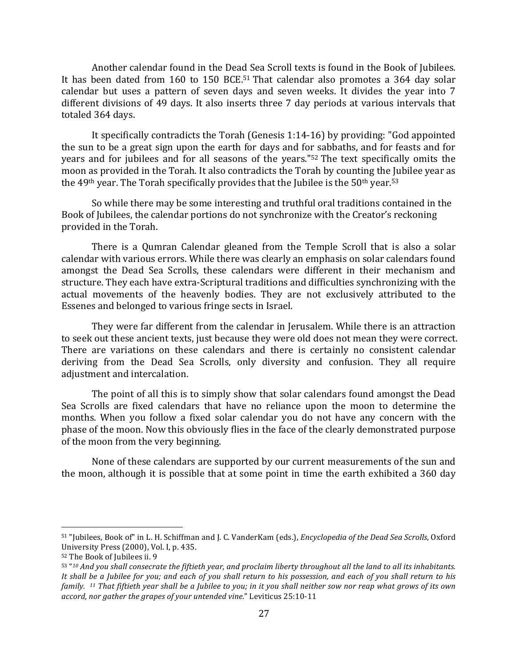Another calendar found in the Dead Sea Scroll texts is found in the Book of Jubilees. It has been dated from 160 to 150 BCE.<sup>51</sup> That calendar also promotes a 364 day solar calendar but uses a pattern of seven days and seven weeks. It divides the year into 7 different divisions of 49 days. It also inserts three 7 day periods at various intervals that totaled 364 days.

It specifically contradicts the Torah (Genesis  $1:14-16$ ) by providing: "God appointed the sun to be a great sign upon the earth for days and for sabbaths, and for feasts and for years and for jubilees and for all seasons of the years."<sup>52</sup> The text specifically omits the moon as provided in the Torah. It also contradicts the Torah by counting the Jubilee year as the  $49<sup>th</sup>$  year. The Torah specifically provides that the Jubilee is the  $50<sup>th</sup>$  year.<sup>53</sup>

So while there may be some interesting and truthful oral traditions contained in the Book of Jubilees, the calendar portions do not synchronize with the Creator's reckoning provided in the Torah.

There is a Qumran Calendar gleaned from the Temple Scroll that is also a solar calendar with various errors. While there was clearly an emphasis on solar calendars found amongst the Dead Sea Scrolls, these calendars were different in their mechanism and structure. They each have extra-Scriptural traditions and difficulties synchronizing with the actual movements of the heavenly bodies. They are not exclusively attributed to the Essenes and belonged to various fringe sects in Israel.

They were far different from the calendar in Jerusalem. While there is an attraction to seek out these ancient texts, just because they were old does not mean they were correct. There are variations on these calendars and there is certainly no consistent calendar deriving from the Dead Sea Scrolls, only diversity and confusion. They all require adjustment and intercalation.

The point of all this is to simply show that solar calendars found amongst the Dead Sea Scrolls are fixed calendars that have no reliance upon the moon to determine the months. When you follow a fixed solar calendar you do not have any concern with the phase of the moon. Now this obviously flies in the face of the clearly demonstrated purpose of the moon from the very beginning.

None of these calendars are supported by our current measurements of the sun and the moon, although it is possible that at some point in time the earth exhibited a  $360 \text{ day}$ 

<sup>51 &</sup>quot;Jubilees, Book of" in L. H. Schiffman and J. C. VanderKam (eds.), *Encyclopedia of the Dead Sea Scrolls*, Oxford University Press (2000), Vol. I, p. 435.

<sup>&</sup>lt;sup>52</sup> The Book of Jubilees ii. 9

<sup>53 &</sup>quot;10 And you shall consecrate the fiftieth year, and proclaim liberty throughout all the land to all its inhabitants. It shall be a Jubilee for you; and each of you shall return to his possession, and each of you shall return to his *family.* <sup>11</sup> That *fiftieth* year shall be a *Jubilee to you;* in it you shall neither sow nor reap what grows of its own accord, nor gather the grapes of your untended vine." Leviticus 25:10-11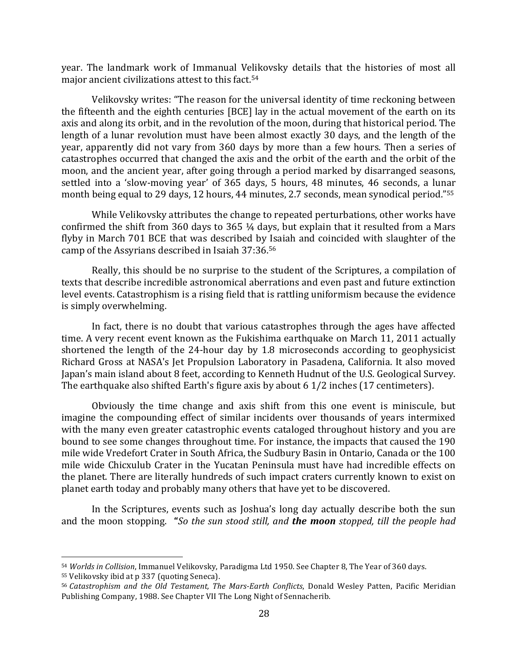year. The landmark work of Immanual Velikovsky details that the histories of most all major ancient civilizations attest to this fact.<sup>54</sup>

Velikovsky writes: "The reason for the universal identity of time reckoning between the fifteenth and the eighth centuries [BCE] lay in the actual movement of the earth on its axis and along its orbit, and in the revolution of the moon, during that historical period. The length of a lunar revolution must have been almost exactly 30 days, and the length of the year, apparently did not vary from 360 days by more than a few hours. Then a series of catastrophes occurred that changed the axis and the orbit of the earth and the orbit of the moon, and the ancient year, after going through a period marked by disarranged seasons, settled into a 'slow-moving year' of 365 days, 5 hours, 48 minutes, 46 seconds, a lunar month being equal to 29 days, 12 hours, 44 minutes, 2.7 seconds, mean synodical period."<sup>55</sup>

While Velikovsky attributes the change to repeated perturbations, other works have confirmed the shift from 360 days to 365  $\frac{1}{4}$  days, but explain that it resulted from a Mars flyby in March 701 BCE that was described by Isaiah and coincided with slaughter of the camp of the Assyrians described in Isaiah 37:36.<sup>56</sup>

Really, this should be no surprise to the student of the Scriptures, a compilation of texts that describe incredible astronomical aberrations and even past and future extinction level events. Catastrophism is a rising field that is rattling uniformism because the evidence is simply overwhelming.

In fact, there is no doubt that various catastrophes through the ages have affected time. A very recent event known as the Fukishima earthquake on March 11, 2011 actually shortened the length of the  $24$ -hour day by 1.8 microseconds according to geophysicist Richard Gross at NASA's Jet Propulsion Laboratory in Pasadena, California. It also moved Japan's main island about 8 feet, according to Kenneth Hudnut of the U.S. Geological Survey. The earthquake also shifted Earth's figure axis by about  $6\frac{1}{2}$  inches  $(17 \text{ centimeters})$ .

Obviously the time change and axis shift from this one event is miniscule, but imagine the compounding effect of similar incidents over thousands of years intermixed with the many even greater catastrophic events cataloged throughout history and you are bound to see some changes throughout time. For instance, the impacts that caused the 190 mile wide Vredefort Crater in South Africa, the Sudbury Basin in Ontario, Canada or the 100 mile wide Chicxulub Crater in the Yucatan Peninsula must have had incredible effects on the planet. There are literally hundreds of such impact craters currently known to exist on planet earth today and probably many others that have yet to be discovered.

In the Scriptures, events such as Joshua's long day actually describe both the sun and the moon stopping. "So the sun stood still, and **the moon** stopped, till the people had

55 Velikovsky ibid at p 337 (quoting Seneca).

<sup>54</sup> *Worlds in Collision*, Immanuel Velikovsky, Paradigma Ltd 1950. See Chapter 8, The Year of 360 days.

<sup>56</sup> *Catastrophism and the Old Testament, The Mars-Earth Conflicts*, Donald Wesley Patten, Pacific Meridian Publishing Company, 1988. See Chapter VII The Long Night of Sennacherib.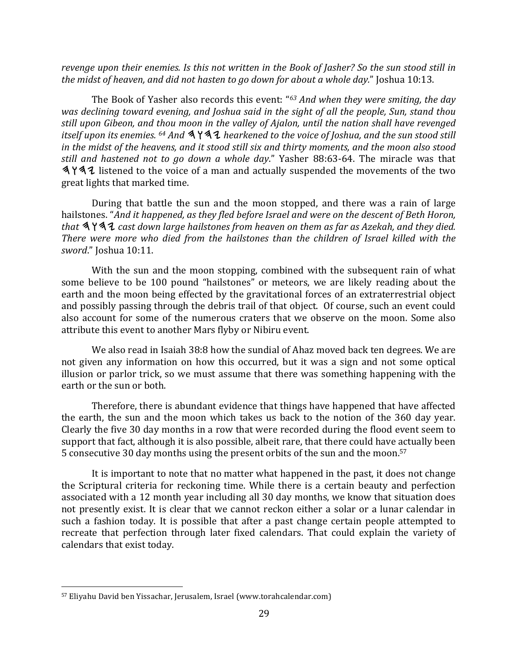*revenge upon their enemies. Is this not written in the Book of Jasher?* So the sun stood still in *the midst of heaven, and did not hasten to go down for about a whole day.*" Joshua 10:13.

The Book of Yasher also records this event: "<sup>63</sup> And when they were smiting, the day was declining toward evening, and *Joshua said in the sight of all the people*, Sun, stand thou still upon Gibeon, and thou moon in the valley of Ajalon, until the nation shall have revenged *itself upon its enemies.* <sup>64</sup> *And*  $\mathcal{A} \times \mathcal{A}$  *hearkened to the voice of Joshua, and the sun stood still* in the midst of the heavens, and it stood still six and thirty moments, and the moon also stood *still* and hastened not to go down a whole day." Yasher 88:63-64. The miracle was that  $\Delta Y \Delta Z$  listened to the voice of a man and actually suspended the movements of the two great lights that marked time.

During that battle the sun and the moon stopped, and there was a rain of large hailstones. "And it happened, as they fled before Israel and were on the descent of Beth Horon, that  $\mathbf{A} \mathbf{Y} \mathbf{A} \mathbf{Z}$  cast down large hailstones from heaven on them as far as Azekah, and they died. There were more who died from the hailstones than the children of Israel killed with the *sword.*" Joshua 10:11.

With the sun and the moon stopping, combined with the subsequent rain of what some believe to be 100 pound "hailstones" or meteors, we are likely reading about the earth and the moon being effected by the gravitational forces of an extraterrestrial object and possibly passing through the debris trail of that object. Of course, such an event could also account for some of the numerous craters that we observe on the moon. Some also attribute this event to another Mars flyby or Nibiru event.

We also read in Isaiah 38:8 how the sundial of Ahaz moved back ten degrees. We are not given any information on how this occurred, but it was a sign and not some optical illusion or parlor trick, so we must assume that there was something happening with the earth or the sun or both.

Therefore, there is abundant evidence that things have happened that have affected the earth, the sun and the moon which takes us back to the notion of the 360 day year. Clearly the five 30 day months in a row that were recorded during the flood event seem to support that fact, although it is also possible, albeit rare, that there could have actually been 5 consecutive 30 day months using the present orbits of the sun and the moon.<sup>57</sup>

It is important to note that no matter what happened in the past, it does not change the Scriptural criteria for reckoning time. While there is a certain beauty and perfection associated with a 12 month year including all 30 day months, we know that situation does not presently exist. It is clear that we cannot reckon either a solar or a lunar calendar in such a fashion today. It is possible that after a past change certain people attempted to recreate that perfection through later fixed calendars. That could explain the variety of calendars that exist today.

<sup>&</sup>lt;sup>57</sup> Eliyahu David ben Yissachar, Jerusalem, Israel (www.torahcalendar.com)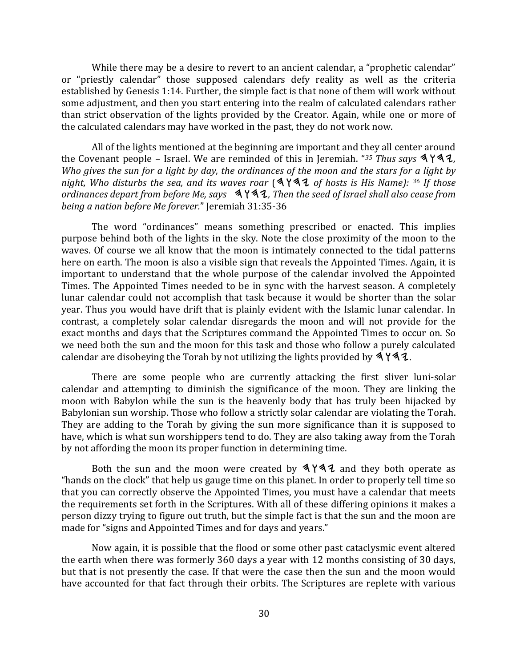While there may be a desire to revert to an ancient calendar, a "prophetic calendar" or "priestly calendar" those supposed calendars defy reality as well as the criteria established by Genesis 1:14. Further, the simple fact is that none of them will work without some adjustment, and then you start entering into the realm of calculated calendars rather than strict observation of the lights provided by the Creator. Again, while one or more of the calculated calendars may have worked in the past, they do not work now.

All of the lights mentioned at the beginning are important and they all center around the Covenant people – Israel. We are reminded of this in Jeremiah. "<sup>35</sup> *Thus says*  $3$  $4$  $4$  $2$ , *Who gives the sun for a light by day, the ordinances of the moon and the stars for a light by night,* Who disturbs the sea, and its waves roar  $(4\overline{14} + 1\overline{4} + 1\overline{4})$  of hosts is His Name): <sup>36</sup> If those ordinances depart from before Me, says  $\mathcal{A} \mathcal{Y} \mathcal{A} \mathcal{I}$ , Then the seed of Israel shall also cease from *being a nation before Me forever.*" Jeremiah 31:35-36

The word "ordinances" means something prescribed or enacted. This implies purpose behind both of the lights in the sky. Note the close proximity of the moon to the waves. Of course we all know that the moon is intimately connected to the tidal patterns here on earth. The moon is also a visible sign that reveals the Appointed Times. Again, it is important to understand that the whole purpose of the calendar involved the Appointed Times. The Appointed Times needed to be in sync with the harvest season. A completely lunar calendar could not accomplish that task because it would be shorter than the solar year. Thus you would have drift that is plainly evident with the Islamic lunar calendar. In contrast, a completely solar calendar disregards the moon and will not provide for the exact months and days that the Scriptures command the Appointed Times to occur on. So we need both the sun and the moon for this task and those who follow a purely calculated calendar are disobeying the Torah by not utilizing the lights provided by  $4Y42$ .

There are some people who are currently attacking the first sliver luni-solar calendar and attempting to diminish the significance of the moon. They are linking the moon with Babylon while the sun is the heavenly body that has truly been hijacked by Babylonian sun worship. Those who follow a strictly solar calendar are violating the Torah. They are adding to the Torah by giving the sun more significance than it is supposed to have, which is what sun worshippers tend to do. They are also taking away from the Torah by not affording the moon its proper function in determining time.

Both the sun and the moon were created by  $\Delta Y \Delta Z$  and they both operate as "hands on the clock" that help us gauge time on this planet. In order to properly tell time so that you can correctly observe the Appointed Times, you must have a calendar that meets the requirements set forth in the Scriptures. With all of these differing opinions it makes a person dizzy trying to figure out truth, but the simple fact is that the sun and the moon are made for "signs and Appointed Times and for days and years."

Now again, it is possible that the flood or some other past cataclysmic event altered the earth when there was formerly 360 days a year with 12 months consisting of 30 days, but that is not presently the case. If that were the case then the sun and the moon would have accounted for that fact through their orbits. The Scriptures are replete with various